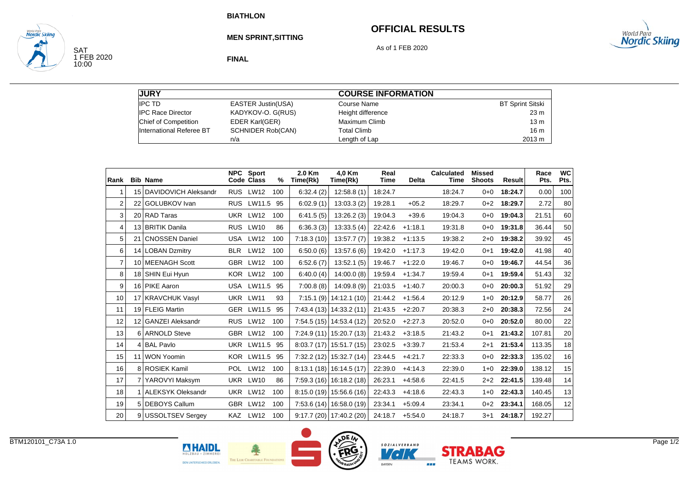# **OFFICIAL RESULTS**



SAT<br>1 FEB 2020<br>10:00

**Nordic Skiina** 

**MEN SPRINT,SITTING**

As of 1 FEB 2020

**FINAL**

| <b>JURY</b>              |                           | <b>COURSE INFORMATION</b> |                         |
|--------------------------|---------------------------|---------------------------|-------------------------|
| <b>IPC TD</b>            | <b>EASTER Justin(USA)</b> | Course Name               | <b>BT Sprint Sitski</b> |
| <b>IPC Race Director</b> | KADYKOV-O. G(RUS)         | Height difference         | 23 m                    |
| Chief of Competition     | EDER Karl(GER)            | Maximum Climb             | 13 <sub>m</sub>         |
| International Referee BT | <b>SCHNIDER Rob(CAN)</b>  | <b>Total Climb</b>        | 16 <sub>m</sub>         |
|                          | n/a                       | Length of Lap             | 2013 m                  |

| Rank           |                 | <b>Bib Name</b>             | <b>NPC</b> | <b>Sport</b><br>Code Class | %   | 2.0 Km<br>Time(Rk) | 4,0 Km<br>Time(Rk)        | Real<br><b>Time</b> | <b>Delta</b> | <b>Calculated</b><br><b>Time</b> | <b>Missed</b><br><b>Shoots</b> | <b>Result</b> | Race<br>Pts. | <b>WC</b><br>Pts. |
|----------------|-----------------|-----------------------------|------------|----------------------------|-----|--------------------|---------------------------|---------------------|--------------|----------------------------------|--------------------------------|---------------|--------------|-------------------|
|                | 15 <sup>1</sup> | <b>DAVIDOVICH Aleksandr</b> | <b>RUS</b> | <b>LW12</b>                | 100 | 6:32.4(2)          | 12:58.8(1)                | 18:24.7             |              | 18:24.7                          | $0 + 0$                        | 18:24.7       | 0.00         | 100               |
| 2              | 22              | <b>GOLUBKOV</b> Ivan        | <b>RUS</b> | LW11.5                     | 95  | 6:02.9(1)          | 13:03.3(2)                | 19:28.1             | $+05.2$      | 18:29.7                          | $0 + 2$                        | 18:29.7       | 2.72         | 80                |
| 3              |                 | 20 RAD Taras                | <b>UKR</b> | <b>LW12</b>                | 100 | 6:41.5(5)          | 13:26.2(3)                | 19:04.3             | $+39.6$      | 19:04.3                          | $0 + 0$                        | 19:04.3       | 21.51        | 60                |
| $\overline{4}$ |                 | 13 BRITIK Danila            | <b>RUS</b> | <b>LW10</b>                | 86  | 6:36.3(3)          | 13:33.5(4)                | 22:42.6             | $+1:18.1$    | 19:31.8                          | $0 + 0$                        | 19:31.8       | 36.44        | 50                |
| 5              | 21              | <b>CNOSSEN Daniel</b>       | USA        | <b>LW12</b>                | 100 | 7:18.3(10)         | 13:57.7(7)                | 19:38.2             | $+1:13.5$    | 19:38.2                          | 2+0                            | 19:38.2       | 39.92        | 45                |
| 6              | 14              | <b>LOBAN Dzmitry</b>        | <b>BLR</b> | <b>LW12</b>                | 100 | 6:50.0(6)          | 13:57.6(6)                | 19:42.0             | $+1:17.3$    | 19:42.0                          | $0 + 1$                        | 19:42.0       | 41.98        | 40                |
| $\overline{7}$ |                 | 10 MEENAGH Scott            |            | GBR LW12                   | 100 | 6:52.6(7)          | 13:52.1(5)                | 19:46.7             | $+1:22.0$    | 19:46.7                          | $0 + 0$                        | 19:46.7       | 44.54        | 36                |
| 8              |                 | 18 SHIN Eui Hyun            |            | KOR LW12                   | 100 | 6:40.0 $(4)$       | 14:00.0(8)                | 19:59.4             | $+1:34.7$    | 19:59.4                          | $0 + 1$                        | 19:59.4       | 51.43        | 32                |
| 9              |                 | 16 PIKE Aaron               |            | USA LW11.5 95              |     | 7:00.8(8)          | 14:09.8(9)                | 21:03.5             | $+1:40.7$    | 20:00.3                          | $0 + 0$                        | 20:00.3       | 51.92        | 29                |
| 10             | 17              | <b>KRAVCHUK Vasyl</b>       | <b>UKR</b> | <b>LW11</b>                | 93  | 7:15.1(9)          | 14:12.1 (10)              | 21:44.2             | $+1:56.4$    | 20:12.9                          | $1 + 0$                        | 20:12.9       | 58.77        | 26                |
| 11             |                 | 19 FLEIG Martin             |            | GER LW11.5 95              |     | 7:43.4(13)         | 14:33.2(11)               | 21:43.5             | $+2:20.7$    | 20:38.3                          | $2+0$                          | 20:38.3       | 72.56        | 24                |
| 12             |                 | 12 GANZEI Aleksandr         |            | RUS LW12                   | 100 |                    | $7:54.5(15)$ 14:53.4 (12) | 20:52.0             | $+2:27.3$    | 20:52.0                          | $0+0$                          | 20:52.0       | 80.00        | 22                |
| 13             |                 | 6 ARNOLD Steve              | <b>GBR</b> | <b>LW12</b>                | 100 | 7:24.9(11)         | 15:20.7(13)               | 21:43.2             | $+3:18.5$    | 21:43.2                          | $0 + 1$                        | 21:43.2       | 107.81       | 20                |
| 14             | 4               | <b>BAL Pavlo</b>            | UKR        | LW11.5                     | 95  | 8:03.7(17)         | 15:51.7 (15)              | 23:02.5             | $+3:39.7$    | 21:53.4                          | $2 + 1$                        | 21:53.4       | 113.35       | 18                |
| 15             | 11              | <b>WON Yoomin</b>           | <b>KOR</b> | LW11.5                     | 95  | 7:32.2(12)         | 15:32.7 (14)              | 23:44.5             | $+4:21.7$    | 22:33.3                          | $0 + 0$                        | 22:33.3       | 135.02       | 16                |
| 16             |                 | 8 ROSIEK Kamil              |            | POL LW12                   | 100 |                    | $8:13.1(18)$ 16:14.5 (17) | 22:39.0             | $+4:14.3$    | 22:39.0                          | $1 + 0$                        | 22:39.0       | 138.12       | 15                |
| 17             | 7               | YAROVYI Maksym              | <b>UKR</b> | <b>LW10</b>                | 86  |                    | 7:59.3 (16) 16:18.2 (18)  | 26:23.1             | $+4:58.6$    | 22:41.5                          | $2 + 2$                        | 22:41.5       | 139.48       | 14                |
| 18             |                 | <b>ALEKSYK Oleksandr</b>    | <b>UKR</b> | <b>LW12</b>                | 100 |                    | $8:15.0(19)$ 15:56.6(16)  | 22:43.3             | $+4:18.6$    | 22:43.3                          | $1 + 0$                        | 22:43.3       | 140.45       | 13                |
| 19             | 5               | <b>DEBOYS Callum</b>        |            | GBR LW12                   | 100 |                    | $7:53.6(14)$ 16.58.0 (19) | 23:34.1             | $+5:09.4$    | 23:34.1                          | $0 + 2$                        | 23:34.1       | 168.05       | 12 <sup>1</sup>   |
| 20             | 9               | <b>USSOLTSEV Sergey</b>     | <b>KAZ</b> | LW12                       | 100 |                    | $9:17.7(20)$ 17:40.2 (20) | 24:18.7             | $+5:54.0$    | 24:18.7                          | $3+1$                          | 24:18.7       | 192.27       |                   |







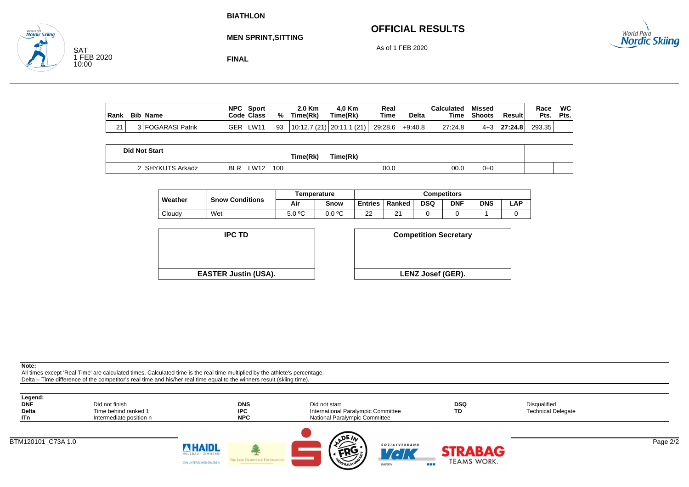# **OFFICIAL RESULTS**



**MEN SPRINT,SITTING**

As of 1 FEB 2020

SAT 1 FEB 2020 10:00

**Nordic Skiina** 

**FINAL**

| Rank | <b>Bib</b><br>Name | <b>NPC</b><br>Code Class | Sport   | %  | 2.0 Km<br>Time(Rk)   | 4.0 Km<br>Time(Rk) | Real<br>Time | <b>Delta</b> | Calculated<br>Time | Missed<br><b>Shoots</b> | Result  | Race<br>Pts. | WC I<br>Pts. |
|------|--------------------|--------------------------|---------|----|----------------------|--------------------|--------------|--------------|--------------------|-------------------------|---------|--------------|--------------|
| 21   | 3 FOGARASI Patrik  | GER                      | $LW1^*$ | 93 | 10:12.7 (21) 20:11.1 | (21)               | 29:28.6      | $+9:40.8$    | 27:24.8            | 4+3                     | 27:24.8 | 293.35       |              |

| <b>Did Not Start</b> |                                  | Time(Rk) | 「ime(Rk) |      |     |  |
|----------------------|----------------------------------|----------|----------|------|-----|--|
| YKUTS Arkadz         | <b>LW12</b><br>100<br><b>BLR</b> |          | 00.0     | 00.0 | 0+0 |  |

|  | Weather |                        | Temperature |        | <b>Competitors</b> |               |            |            |            |     |  |
|--|---------|------------------------|-------------|--------|--------------------|---------------|------------|------------|------------|-----|--|
|  |         | <b>Snow Conditions</b> | Air         | Snow   | <b>Entries</b>     | Ranked        | <b>DSQ</b> | <b>DNF</b> | <b>DNS</b> | ∟AP |  |
|  | Cloudy  | Wet                    | 5.0 °C      | 0.0 °C | ົ<br>ے             | ົ<br><u>.</u> |            |            |            |     |  |



| D                  | <b>Competition Secretary</b> |
|--------------------|------------------------------|
| t <b>in (USA).</b> | <b>LENZ Josef (GER).</b>     |

**Note:**

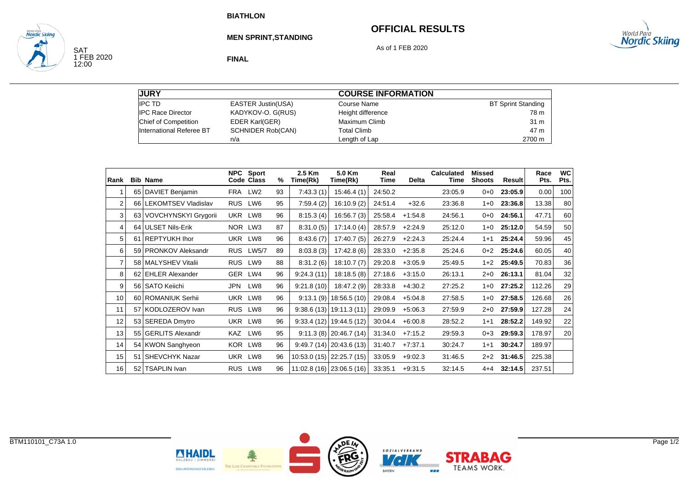# **OFFICIAL RESULTS**



SAT<br>1 FEB 2020<br>12:00

<sub>wortd Para</sub><br>**Nordic Skiing** 

**MEN SPRINT,STANDING**

As of 1 FEB 2020

**FINAL**

| <b>JURY</b>              |                           | <b>COURSE INFORMATION</b> |                           |
|--------------------------|---------------------------|---------------------------|---------------------------|
| <b>IPC TD</b>            | <b>EASTER Justin(USA)</b> | Course Name               | <b>BT Sprint Standing</b> |
| <b>IPC Race Director</b> | KADYKOV-O. G(RUS)         | Height difference         | 78 m                      |
| Chief of Competition     | EDER Karl(GER)            | Maximum Climb             | 31 m                      |
| International Referee BT | <b>SCHNIDER Rob(CAN)</b>  | <b>Total Climb</b>        | 47 m                      |
|                          | n/a                       | Length of Lap             | 2700 m                    |

| Rank |    | <b>Bib Name</b>             | <b>NPC</b> | <b>Sport</b><br>Code Class | %  | 2.5 Km<br>Time(Rk) | 5.0 Km<br>Time(Rk)        | Real<br>Time | <b>Delta</b> | <b>Calculated</b><br>Time | Missed<br><b>Shoots</b> | Result  | Race<br>Pts. | <b>WC</b><br>Pts. |
|------|----|-----------------------------|------------|----------------------------|----|--------------------|---------------------------|--------------|--------------|---------------------------|-------------------------|---------|--------------|-------------------|
| 1    |    | 65   DAVIET Benjamin        | FRA        | LW <sub>2</sub>            | 93 | 7:43.3(1)          | 15:46.4(1)                | 24:50.2      |              | 23:05.9                   | $0 + 0$                 | 23:05.9 | 0.00         | 100               |
| 2    |    | 66 LEKOMTSEV Vladislav      | <b>RUS</b> | LW6                        | 95 | 7:59.4(2)          | 16:10.9(2)                | 24:51.4      | $+32.6$      | 23:36.8                   | $1 + 0$                 | 23:36.8 | 13.38        | 80                |
| 3    | 63 | <b>VOVCHYNSKYI Grygorii</b> | UKR LW8    |                            | 96 | 8:15.3(4)          | 16:56.7(3)                | 25:58.4      | $+1.54.8$    | 24:56.1                   | $0 + 0$                 | 24:56.1 | 47.71        | 60                |
| 4    |    | 64 ULSET Nils-Erik          | NOR LW3    |                            | 87 | 8:31.0(5)          | 17:14.0(4)                | 28:57.9      | $+2:24.9$    | 25:12.0                   | $1 + 0$                 | 25:12.0 | 54.59        | 50                |
| 5    |    | 61 REPTYUKH Ihor            |            | UKR LW8                    | 96 | 8:43.6(7)          | 17:40.7(5)                | 26:27.9      | $+2:24.3$    | 25:24.4                   | $1+1$                   | 25:24.4 | 59.96        | 45                |
| 6    |    | 59 PRONKOV Aleksandr        |            | RUS LW5/7                  | 89 | 8:03.8(3)          | 17:42.8(6)                | 28:33.0      | $+2:35.8$    | 25:24.6                   | $0 + 2$                 | 25:24.6 | 60.05        | 40                |
| 7    |    | 58   MALYSHEV Vitalii       | <b>RUS</b> | LW9                        | 88 | 8:31.2(6)          | 18:10.7(7)                | 29:20.8      | $+3:05.9$    | 25:49.5                   | $1+2$                   | 25:49.5 | 70.83        | 36                |
| 8    |    | 62 EHLER Alexander          | GER LW4    |                            | 96 | 9:24.3(11)         | 18:18.5(8)                | 27:18.6      | $+3:15.0$    | 26:13.1                   | $2 + 0$                 | 26:13.1 | 81.04        | 32                |
| 9    |    | 56   SATO Keiichi           | JPN        | LW8                        | 96 | 9:21.8(10)         | 18:47.2 (9)               | 28:33.8      | $+4:30.2$    | 27:25.2                   | $1 + 0$                 | 27:25.2 | 112.26       | 29                |
| 10   |    | 60 ROMANIUK Serhii          | <b>UKR</b> | LW8                        | 96 | 9:13.1(9)          | 18:56.5 (10)              | 29:08.4      | $+5:04.8$    | 27:58.5                   | 1+0                     | 27:58.5 | 126.68       | 26                |
| 11   |    | 57 KODLOZEROV Ivan          | <b>RUS</b> | LW8                        | 96 |                    | $9.38.6(13)$ 19:11.3 (11) | 29:09.9      | $+5:06.3$    | 27:59.9                   | $2 + 0$                 | 27:59.9 | 127.28       | 24                |
| 12   |    | 53 SEREDA Dmytro            | UKR        | LW8                        | 96 | 9:33.4(12)         | 19:44.5 (12)              | 30:04.4      | $+6:00.8$    | 28:52.2                   | $1 + 1$                 | 28:52.2 | 149.92       | 22                |
| 13   |    | 55 GERLITS Alexandr         | KAZ        | LW6                        | 95 |                    | $9:11.3(8)$ 20:46.7 (14)  | 31:34.0      | $+7:15.2$    | 29:59.3                   | $0 + 3$                 | 29:59.3 | 178.97       | 20                |
| 14   |    | 54 KWON Sanghyeon           | KOR.       | LW8                        | 96 |                    | $9:49.7(14)$ 20:43.6 (13) | 31:40.7      | $+7:37.1$    | 30:24.7                   | $1 + 1$                 | 30:24.7 | 189.97       |                   |
| 15   |    | 51   SHEVCHYK Nazar         | UKR        | LW8                        | 96 |                    | 10:53.0 (15) 22:25.7 (15) | 33:05.9      | $+9:02.3$    | 31:46.5                   | $2+2$                   | 31:46.5 | 225.38       |                   |
| 16   | 52 | <b>TSAPLIN Ivan</b>         | <b>RUS</b> | LW8                        | 96 |                    | 11:02.8 (16) 23:06.5 (16) | 33:35.1      | $+9:31.5$    | 32:14.5                   | $4 + 4$                 | 32:14.5 | 237.51       |                   |



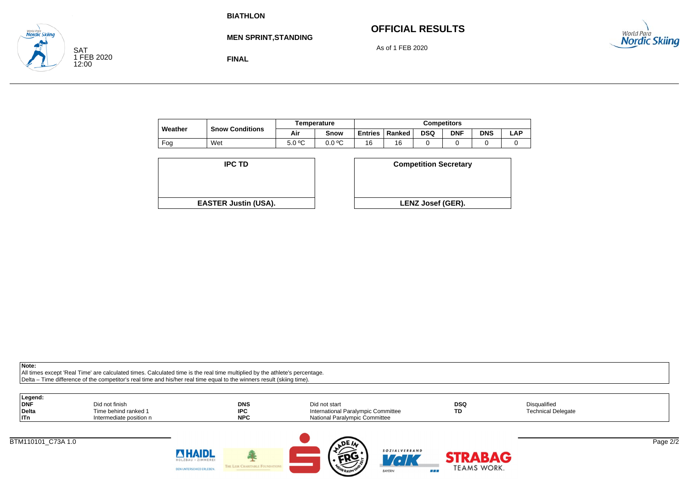**FINAL**

# **OFFICIAL RESULTS**



**MEN SPRINT,STANDING**

As of 1 FEB 2020

| Weather |                        | Temperature |        | <b>Competitors</b> |        |            |            |            |      |  |
|---------|------------------------|-------------|--------|--------------------|--------|------------|------------|------------|------|--|
|         | <b>Snow Conditions</b> | Air         | Snow   | <b>Entries</b>     | Ranked | <b>DSQ</b> | <b>DNF</b> | <b>DNS</b> | ∟AP. |  |
| Fog     | Wet                    | 5.0 °C      | 0.0 °C | 16                 | 16     |            |            |            |      |  |

| <b>IPC TD</b>               | <b>Competition Secreta</b> |
|-----------------------------|----------------------------|
|                             |                            |
|                             |                            |
|                             |                            |
| <b>EASTER Justin (USA).</b> | <b>LENZ Josef (GER).</b>   |

| D                  | <b>Competition Secretary</b> |  |
|--------------------|------------------------------|--|
|                    |                              |  |
| t <b>in (USA).</b> | <b>LENZ Josef (GER).</b>     |  |
|                    |                              |  |

SAT

**Vordic Skiina** 

1 FEB 2020 12:00

| Legend:<br><b>DNF</b><br><b>Delta</b><br>  ITn | Did not finish<br>Time behind ranked 1<br>Intermediate position n |                                                | <b>DNS</b><br><b>IPC</b><br><b>NPC</b> | Did not start<br>International Paralympic Committee<br>National Paralympic Committee |                             | <b>DSQ</b><br>TD   | Disqualified<br><b>Technical Delegate</b> |          |
|------------------------------------------------|-------------------------------------------------------------------|------------------------------------------------|----------------------------------------|--------------------------------------------------------------------------------------|-----------------------------|--------------------|-------------------------------------------|----------|
| BTM110101 C73A 1.0                             |                                                                   | <b>MHAIDL</b>                                  |                                        | <b>ADEIN</b>                                                                         | <b>SOZIALVERBAND</b>        | <b>STRABAG</b>     |                                           | Page 2/2 |
|                                                |                                                                   | HOLZBAU · ZIMMEREI<br>DEN UNTERSCHIED ERLEBEN. | THE LEIR CHARITABLE FOUNDATIONS        | محت<br>TEHR BALIM UNIT                                                               | <b>LEK</b><br><b>BAYERN</b> | TEAMS WORK.<br>--- |                                           |          |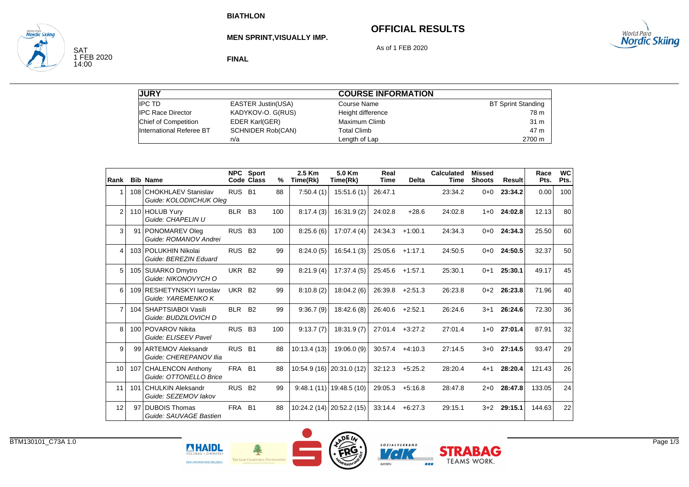# **OFFICIAL RESULTS**



SAT<br>1 FEB 2020<br>14:00

**Nordic Skiina** 

**MEN SPRINT,VISUALLY IMP.**

As of 1 FEB 2020

**FINAL**

| <b>JURY</b>              |                           | <b>COURSE INFORMATION</b> |                           |
|--------------------------|---------------------------|---------------------------|---------------------------|
| <b>IPC TD</b>            | <b>EASTER Justin(USA)</b> | Course Name               | <b>BT Sprint Standing</b> |
| <b>IPC Race Director</b> | KADYKOV-O. G(RUS)         | Height difference         | 78 m                      |
| Chief of Competition     | <b>EDER Karl(GER)</b>     | Maximum Climb             | 31 m                      |
| International Referee BT | <b>SCHNIDER Rob(CAN)</b>  | <b>Total Climb</b>        | 47 m                      |
|                          | n/a                       | Length of Lap             | 2700 m                    |

| Rank           |                 | <b>Bib Name</b>                                       |                    | NPC Sport<br>Code Class | %   | 2.5 Km<br>Time(Rk) | 5.0 Km<br>Time(Rk)        | Real<br><b>Time</b> | <b>Delta</b> | <b>Calculated</b><br><b>Time</b> | <b>Missed</b><br><b>Shoots</b> | <b>Result</b> | Race<br>Pts. | <b>WC</b><br>Pts. |
|----------------|-----------------|-------------------------------------------------------|--------------------|-------------------------|-----|--------------------|---------------------------|---------------------|--------------|----------------------------------|--------------------------------|---------------|--------------|-------------------|
|                | 108             | <b>CHOKHLAEV Stanislav</b><br>Guide: KOLODIICHUK Oleg | RUS <sub>B1</sub>  |                         | 88  | 7:50.4(1)          | 15:51.6(1)                | 26:47.1             |              | 23:34.2                          | $0 + 0$                        | 23:34.2       | 0.00         | 100               |
| $\overline{2}$ | 110             | <b>HOLUB Yurv</b><br>Guide: CHAPELIN U                | <b>BLR</b>         | <b>B3</b>               | 100 | 8:17.4(3)          | 16:31.9(2)                | 24:02.8             | $+28.6$      | 24:02.8                          | $1 + 0$                        | 24:02.8       | 12.13        | 80                |
| 3              |                 | 91 PONOMAREV Oleg<br>Guide: ROMANOV Andrei            | <b>RUS</b>         | B <sub>3</sub>          | 100 | 8:25.6(6)          | 17:07.4(4)                | 24:34.3             | $+1:00.1$    | 24:34.3                          | $0 + 0$                        | 24:34.3       | 25.50        | 60                |
| 4              |                 | 103 POLUKHIN Nikolai<br>Guide: BEREZIN Eduard         | <b>RUS</b>         | <b>B2</b>               | 99  | 8:24.0(5)          | 16:54.1(3)                | 25:05.6             | $+1:17.1$    | 24:50.5                          | $0 + 0$                        | 24:50.5       | 32.37        | 50                |
| 5              |                 | 105 SUIARKO Dmytro<br>Guide: NIKONOVYCH O             | UKR B2             |                         | 99  | 8:21.9(4)          | 17:37.4(5)                | 25:45.6             | $+1:57.1$    | 25:30.1                          | $0+1$                          | 25:30.1       | 49.17        | 45                |
| 6              |                 | 109 RESHETYNSKYI Jaroslav<br>Guide: YAREMENKO K       | UKR B <sub>2</sub> |                         | 99  | 8:10.8(2)          | 18:04.2(6)                | 26:39.8             | $+2:51.3$    | 26:23.8                          | $0+2$                          | 26:23.8       | 71.96        | 40                |
| $\overline{7}$ |                 | 104 SHAPTSIABOI Vasili<br>Guide: BUDZILOVICH D        | <b>BLR</b>         | <b>B2</b>               | 99  | 9:36.7(9)          | 18:42.6(8)                | 26:40.6             | $+2:52.1$    | 26:24.6                          | $3 + 1$                        | 26:24.6       | 72.30        | 36                |
| 8              |                 | 100 POVAROV Nikita<br>Guide: ELISEEV Pavel            | <b>RUS</b>         | B <sub>3</sub>          | 100 | 9:13.7(7)          | 18:31.9(7)                | 27:01.4             | $+3:27.2$    | 27:01.4                          | $1 + 0$                        | 27:01.4       | 87.91        | 32                |
| 9              |                 | 99 ARTEMOV Aleksandr<br>Guide: CHEREPANOV Ilia        | <b>RUS</b>         | <b>B1</b>               | 88  | 10:13.4(13)        | 19:06.0(9)                | 30:57.4             | $+4:10.3$    | 27:14.5                          | $3+0$                          | 27:14.5       | 93.47        | 29                |
| 10             |                 | 107 CHALENCON Anthony<br>Guide: OTTONELLO Brice       | <b>FRA</b>         | <b>B1</b>               | 88  |                    | 10:54.9 (16) 20:31.0 (12) | 32:12.3             | $+5:25.2$    | 28:20.4                          | $4 + 1$                        | 28:20.4       | 121.43       | 26                |
| 11             |                 | 101 CHULKIN Aleksandr<br>Guide: SEZEMOV lakov         | <b>RUS</b>         | <b>B2</b>               | 99  |                    | $9.48.1(11)$ 19:48.5 (10) | 29:05.3             | $+5:16.8$    | 28:47.8                          | $2+0$                          | 28:47.8       | 133.05       | 24                |
| 12             | 97 <sub>1</sub> | <b>DUBOIS Thomas</b><br>Guide: SAUVAGE Bastien        | <b>FRA</b>         | <b>B1</b>               | 88  |                    | 10:24.2 (14) 20:52.2 (15) | 33:14.4             | $+6.27.3$    | 29:15.1                          | $3+2$                          | 29:15.1       | 144.63       | 22                |





**BAYERN** 

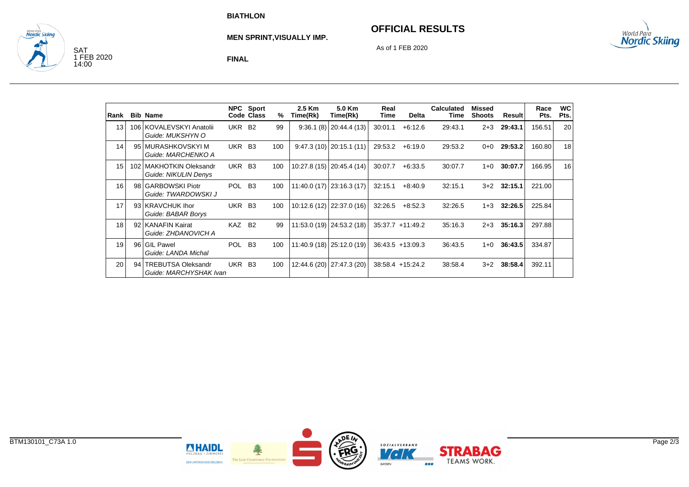## **OFFICIAL RESULTS**



SAT<br>1 FEB 2020<br>14:00

**Nordic Skiina** 

**MEN SPRINT,VISUALLY IMP.**

As of 1 FEB 2020

**FINAL**

| Rank |    | <b>Bib Name</b>                                     | <b>NPC</b> | Sport<br>Code Class | ℅   | 2.5 Km<br>Time(Rk) | 5.0 Km<br>Time(Rk)         | Real<br>Time | <b>Delta</b>       | <b>Calculated</b><br>Time | Missed<br><b>Shoots</b> | Result  | Race<br>Pts. | WC<br>Pts. |
|------|----|-----------------------------------------------------|------------|---------------------|-----|--------------------|----------------------------|--------------|--------------------|---------------------------|-------------------------|---------|--------------|------------|
| 13   |    | 106 KOVALEVSKYI Anatolii<br>Guide: MUKSHYN O        | UKR B2     |                     | 99  |                    | $9:36.1(8)$ 20:44.4 (13)   | 30:01.1      | $+6:12.6$          | 29:43.1                   | $2 + 3$                 | 29:43.1 | 156.51       | 20         |
| 14   |    | 95 MURASHKOVSKYI M<br>Guide: MARCHENKO A            | UKR B3     |                     | 100 |                    | $9:47.3(10)$ 20:15.1 (11)  | 29:53.2      | $+6:19.0$          | 29:53.2                   | $0 + 0$                 | 29:53.2 | 160.80       | 18         |
| 15   |    | 102 MAKHOTKIN Oleksandr<br>Guide: NIKULIN Denys     | UKR B3     |                     | 100 |                    | 10:27.8 (15) 20:45.4 (14)  | 30:07.7      | $+6:33.5$          | 30:07.7                   | $1 + 0$                 | 30:07.7 | 166.95       | 16         |
| 16   | 98 | <b>GARBOWSKI Piotr</b><br>Guide: TWARDOWSKI J       | POL B3     |                     | 100 |                    | $11:40.0(17)$ 23:16.3 (17) | 32:15.1      | $+8:40.9$          | 32:15.1                   | $3+2$                   | 32:15.1 | 221.00       |            |
| 17   |    | 93 KRAVCHUK Ihor<br>Guide: BABAR Borys              | UKR B3     |                     | 100 |                    | $10:12.6(12)$ 22:37.0 (16) | 32:26.5      | $+8.52.3$          | 32:26.5                   | $1 + 3$                 | 32:26.5 | 225.84       |            |
| 18   |    | 92 KANAFIN Kairat<br>Guide: ZHDANOVICH A            | <b>KAZ</b> | <b>B2</b>           | 99  |                    | 11:53.0 (19) 24:53.2 (18)  |              | 35:37.7 +11:49.2   | 35:16.3                   | $2 + 3$                 | 35:16.3 | 297.88       |            |
| 19   | 96 | <b>GIL Pawel</b><br>Guide: LANDA Michal             | POL B3     |                     | 100 |                    | 11:40.9 (18) 25:12.0 (19)  |              | $36:43.5 +13:09.3$ | 36:43.5                   | 1+0                     | 36:43.5 | 334.87       |            |
| 20   | 94 | <b>TREBUTSA Oleksandr</b><br>Guide: MARCHYSHAK Ivan | UKR B3     |                     | 100 |                    | 12:44.6 (20) 27:47.3 (20)  |              | 38:58.4 +15:24.2   | 38:58.4                   | $3+2$                   | 38:58.4 | 392.11       |            |

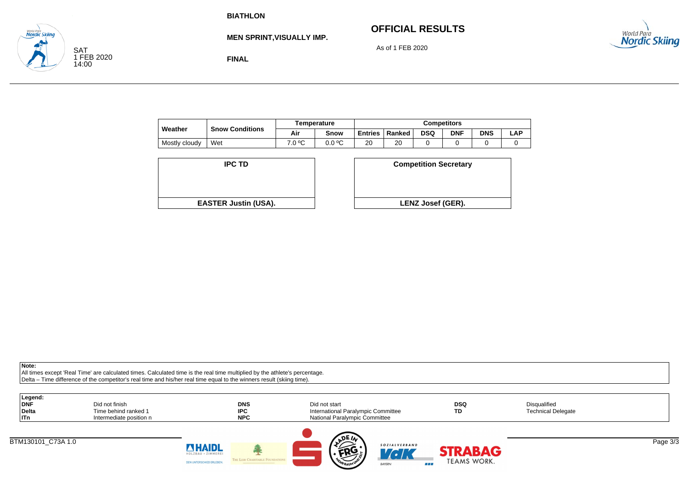# **OFFICIAL RESULTS**



**MEN SPRINT,VISUALLY IMP.**

As of 1 FEB 2020

**FINAL**

|               |                        |        | <b>Temperature</b> | Competitors    |        |     |            |            |     |  |
|---------------|------------------------|--------|--------------------|----------------|--------|-----|------------|------------|-----|--|
| Weather       | <b>Snow Conditions</b> |        | Snow               | <b>Entries</b> | Ranked | DSQ | <b>DNF</b> | <b>DNS</b> | ∟AP |  |
| Mostly cloudy | Wet                    | 7.0 °C | 0.0 °C             | 20             | 20     |     |            |            |     |  |

| <b>IPC TD</b>               | <b>Competition Secreta</b> |
|-----------------------------|----------------------------|
|                             |                            |
|                             |                            |
| <b>EASTER Justin (USA).</b> | <b>LENZ Josef (GER).</b>   |

| D<br><b>Competition Secretary</b>              |  |
|------------------------------------------------|--|
|                                                |  |
|                                                |  |
| t <b>in (USA).</b><br><b>LENZ Josef (GER).</b> |  |

**Note:**

SAT

**Nordic Skiina** 

1 FEB 2020 14:00

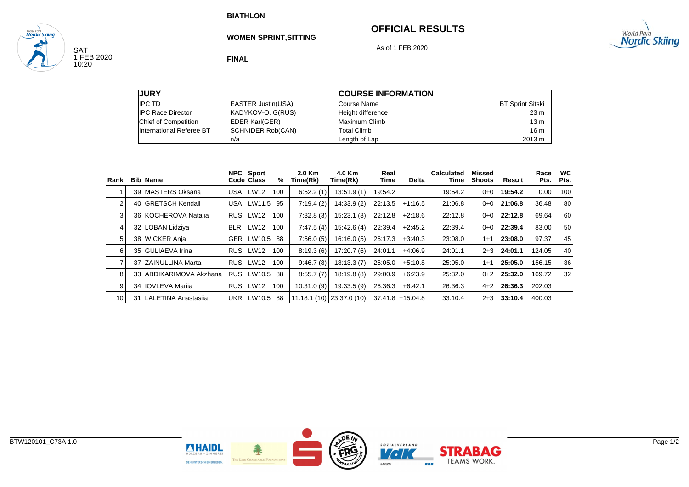# **OFFICIAL RESULTS**



SAT<br>1 FEB 2020<br>10:20

**Nordic Skiina** 

**WOMEN SPRINT,SITTING**

As of 1 FEB 2020

**FINAL**

| <b>JURY</b>              |                           | <b>COURSE INFORMATION</b> |                         |
|--------------------------|---------------------------|---------------------------|-------------------------|
| <b>IPC TD</b>            | <b>EASTER Justin(USA)</b> | Course Name               | <b>BT Sprint Sitski</b> |
| <b>IPC Race Director</b> | KADYKOV-O. G(RUS)         | Height difference         | 23 <sub>m</sub>         |
| Chief of Competition     | <b>EDER Karl(GER)</b>     | Maximum Climb             | 13 <sub>m</sub>         |
| International Referee BT | <b>SCHNIDER Rob(CAN)</b>  | <b>Total Climb</b>        | 16 <sub>m</sub>         |
|                          | n/a                       | Length of Lap             | 2013 m                  |

| Rank |    | <b>Bib Name</b>         |            | <b>NPC</b> Sport<br>Code Class | %   | $2.0$ Km<br>Time(Rk) | 4.0 Km<br>Time(Rk)        | Real<br>Time | <b>Delta</b>       | <b>Calculated</b><br>Time | <b>Missed</b><br><b>Shoots</b> | Result        | Race<br>Pts. | <b>WC</b><br>Pts. |
|------|----|-------------------------|------------|--------------------------------|-----|----------------------|---------------------------|--------------|--------------------|---------------------------|--------------------------------|---------------|--------------|-------------------|
|      | 39 | <b>IMASTERS Oksana</b>  |            | USA LW12                       | 100 | 6:52.2(1)            | 13:51.9(1)                | 19:54.2      |                    | 19:54.2                   | 0+0                            | 19:54.2       | 0.00         | 100               |
| 2    |    | 40 GRETSCH Kendall      | USA        | LW11.5                         | 95  | 7:19.4(2)            | 14:33.9 (2)               | 22:13.5      | $+1:16.5$          | 21:06.8                   | $0 + 0$                        | 21:06.8       | 36.48        | 80                |
| 3    |    | 36 KOCHEROVA Natalia    | <b>RUS</b> | LW12                           | 100 | 7:32.8(3)            | 15:23.1(3)                | 22:12.8      | $+2:18.6$          | 22:12.8                   | 0+0                            | 22:12.8       | 69.64        | 60                |
| 4    |    | 32 LOBAN Lidziva        | <b>BLR</b> | <b>LW12</b>                    | 100 | 7.47.5(4)            | 15.42.6(4)                | 22:39.4      | $+2:45.2$          | 22:39.4                   | $0 + 0$                        | 22:39.4       | 83.00        | 50                |
| 5    |    | 38 WICKER Anja          |            | GER LW10.5                     | 88  | 7:56.0(5)            | 16:16.0(5)                | 26:17.3      | $+3:40.3$          | 23:08.0                   | $1 + 1$                        | 23:08.0       | 97.37        | 45                |
| 6    |    | 35 GULIAEVA Irina       | <b>RUS</b> | LW12                           | 100 | 8:19.3(6)            | 17:20.7(6)                | 24:01.1      | $+4:06.9$          | 24:01.1                   | $2 + 3$                        | 24:01.1       | 124.05       | 40                |
| 7    |    | 37 ZAINULLINA Marta     | <b>RUS</b> | <b>LW12</b>                    | 100 | 9:46.7(8)            | 18:13.3(7)                | 25:05.0      | $+5:10.8$          | 25:05.0                   | 1+1                            | 25:05.0       | 156.15       | 36                |
| 8    |    | 33 ABDIKARIMOVA Akzhana | <b>RUS</b> | LW10.5 88                      |     | 8:55.7(7)            | 18:19.8(8)                | 29:00.9      | $+6.23.9$          | 25:32.0                   | $0+2$                          | 25:32.0       | 169.72       | 32                |
| 9    |    | 34 I IOVLEVA Marija     |            | RUS LW12                       | 100 | 10:31.0(9)           | 19:33.5(9)                | 26:36.3      | $+6:42.1$          | 26:36.3                   |                                | $4+2$ 26:36.3 | 202.03       |                   |
| 10   | 31 | LALETINA Anastasija     | UKR        | LW10.5                         | -88 |                      | 11:18.1 (10) 23:37.0 (10) |              | $37:41.8$ +15:04.8 | 33:10.4                   | $2 + 3$                        | 33:10.4       | 400.03       |                   |

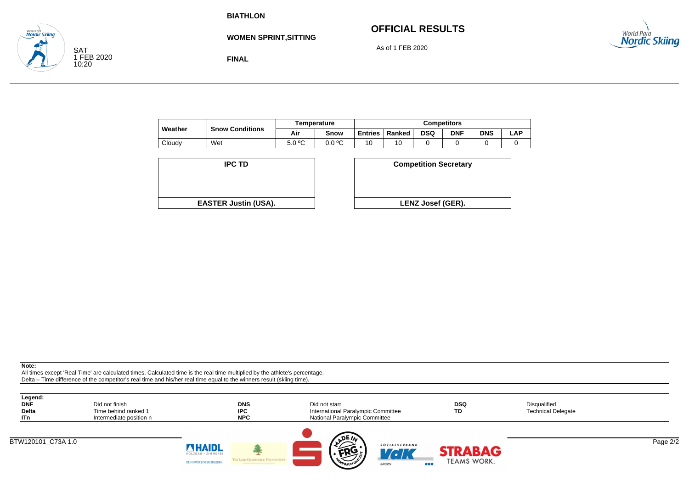# **OFFICIAL RESULTS**

As of 1 FEB 2020



**WOMEN SPRINT,SITTING**

**FINAL**

|         | <b>Snow Conditions</b> |        | Temperature | <b>Competitors</b> |        |            |            |            |     |  |
|---------|------------------------|--------|-------------|--------------------|--------|------------|------------|------------|-----|--|
| Weather |                        | Air    | Snow        | <b>Entries</b>     | Ranked | <b>DSQ</b> | <b>DNF</b> | <b>DNS</b> | ∟AP |  |
| Cloudy  | Wet                    | 5.0 °C | 0.0 °C      | 10                 | 10     |            |            |            |     |  |

| <b>IPC TD</b>               | <b>Competition Secreta</b> |
|-----------------------------|----------------------------|
|                             |                            |
| <b>EASTER Justin (USA).</b> | <b>LENZ Josef (GER).</b>   |

| D                  | <b>Competition Secretary</b> |
|--------------------|------------------------------|
|                    |                              |
| t <b>in (USA).</b> | <b>LENZ Josef (GER).</b>     |
|                    |                              |

**Note:**

SAT

**Nordic Skiina** 

1 FEB 2020 10:20

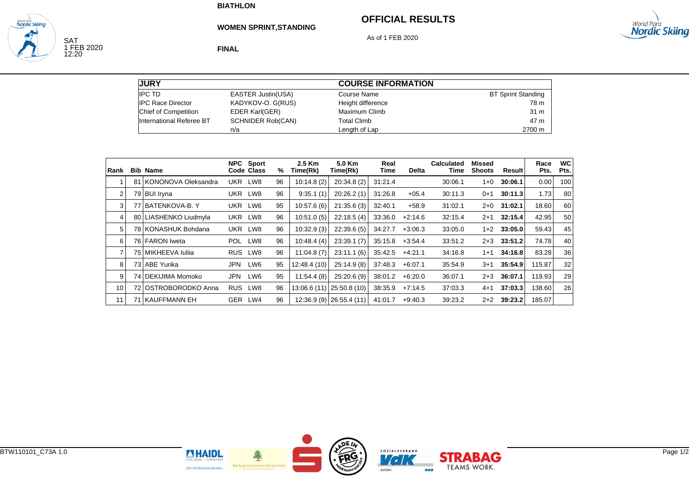**FINAL**

# **OFFICIAL RESULTS**



SAT<br>1 FEB 2020<br>12:20

**Nordic Skiind** 

**WOMEN SPRINT,STANDING**

As of 1 FEB 2020

| <b>JURY</b>              |                           | <b>COURSE INFORMATION</b> |                           |  |  |  |
|--------------------------|---------------------------|---------------------------|---------------------------|--|--|--|
| <b>IPC TD</b>            | <b>EASTER Justin(USA)</b> | Course Name               | <b>BT Sprint Standing</b> |  |  |  |
| <b>IPC Race Director</b> | KADYKOV-O. G(RUS)         | Height difference         | 78 m                      |  |  |  |
| Chief of Competition     | <b>EDER Karl(GER)</b>     | Maximum Climb             | 31 m                      |  |  |  |
| International Referee BT | <b>SCHNIDER Rob(CAN)</b>  | <b>Total Climb</b>        | 47 m                      |  |  |  |
|                          | n/a                       | Length of Lap             | 2700 m                    |  |  |  |

| Rank           | <b>Bib Name</b>        |            | <b>NPC</b> Sport<br>Code Class | %  | 2.5 Km<br>Time(Rk) | 5.0 Km<br>Time(Rk)          | Real<br>Time | <b>Delta</b> | <b>Calculated</b><br>Time | <b>Missed</b><br><b>Shoots</b> | Result  | Race<br>Pts. | <b>WC</b><br>Pts. |
|----------------|------------------------|------------|--------------------------------|----|--------------------|-----------------------------|--------------|--------------|---------------------------|--------------------------------|---------|--------------|-------------------|
|                | 81 KONONOVA Oleksandra | UKR        | LW8                            | 96 | 10:14.8(2)         | 20:34.8(2)                  | 31:21.4      |              | 30:06.1                   | 1+0                            | 30:06.1 | 0.00         | 100               |
| 2              | 79 BUI Iryna           |            | UKR LW8                        | 96 | 9:35.1(1)          | 20:26.2(1)                  | 31:26.8      | $+05.4$      | 30:11.3                   | $0 + 1$                        | 30:11.3 | 1.73         | 80                |
| 3              | 77 BATENKOVA-B.Y       | UKR LW6    |                                | 95 | 10:57.6(6)         | 21:35.6(3)                  | 32:40.1      | $+58.9$      | 31:02.1                   | 2+0                            | 31:02.1 | 18.60        | 60                |
| 4              | 80 LIASHENKO Liudmyla  |            | UKR LW8                        | 96 | 10:51.0(5)         | 22:18.5(4)                  | 33:36.0      | $+2:14.6$    | 32:15.4                   | $2 + 1$                        | 32:15.4 | 42.95        | 50                |
| 5              | 78 KONASHUK Bohdana    | UKR        | LW8                            | 96 | 10:32.9(3)         | 22:39.6(5)                  | 34:27.7      | $+3:06.3$    | 33:05.0                   | $1+2$                          | 33:05.0 | 59.43        | 45                |
| 6              | 76 FARON Iweta         | POL        | LW8                            | 96 | 10:48.4(4)         | 23:39.1(7)                  | 35:15.8      | $+3:54.4$    | 33:51.2                   | 2+3                            | 33:51.2 | 74.78        | 40                |
| $\overline{7}$ | 75   MIKHEEVA Iulija   | <b>RUS</b> | LW8                            | 96 | 11:04.8(7)         | 23:11.1(6)                  | 35:42.5      | $+4.21.1$    | 34:16.8                   | $1 + 1$                        | 34:16.8 | 83.28        | 36                |
| 8              | 73 ABE Yurika          | <b>JPN</b> | LW6                            | 95 | 12:48.4 (10)       | 25:14.9(8)                  | 37:48.3      | $+6.07.1$    | 35:54.9                   | $3+1$                          | 35:54.9 | 115.87       | 32                |
| 9              | 74   DEKIJIMA Momoko   | <b>JPN</b> | LW6                            | 95 | 11.54.4(8)         | 25:20.6(9)                  | 38:01.2      | $+6:20.0$    | 36:07.1                   | $2 + 3$                        | 36:07.1 | 119.93       | 29                |
| 10             | 72 OSTROBORODKO Anna   | <b>RUS</b> | LW8                            | 96 |                    | 13:06.6 (11)   25:50.8 (10) | 38:35.9      | $+7:14.5$    | 37:03.3                   | $4 + 1$                        | 37:03.3 | 138.60       | 26                |
| 11             | 71 KAUFFMANN EH        | GER LW4    |                                | 96 |                    | 12:36.9 (9) 26:55.4 (11)    | 41:01.7      | $+9.40.3$    | 39:23.2                   | $2+2$                          | 39:23.2 | 185.07       |                   |

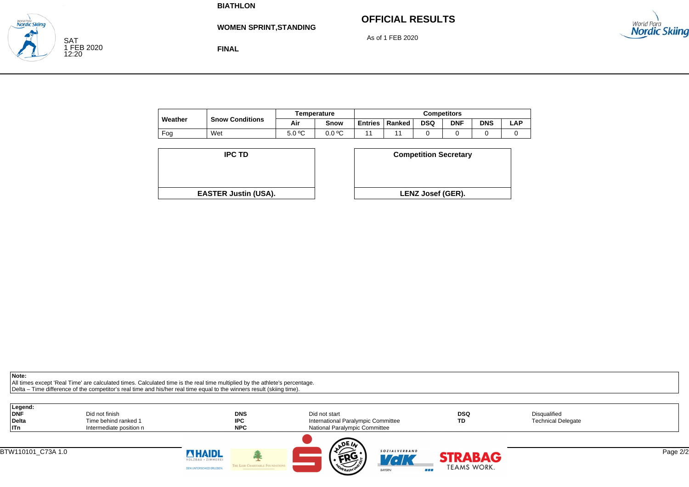**WOMEN SPRINT,STANDING**

# **OFFICIAL RESULTS**

As of 1 FEB 2020





**FINAL**

|         |                        |        | <b>Temperature</b> | <b>Competitors</b> |        |            |            |            |            |  |
|---------|------------------------|--------|--------------------|--------------------|--------|------------|------------|------------|------------|--|
| Weather | <b>Snow Conditions</b> | Air    | Snow               | <b>Entries</b>     | Ranked | <b>DSQ</b> | <b>DNF</b> | <b>DNS</b> | <b>LAP</b> |  |
| Fog     | Wet                    | 5.0 °C | 0.0 °C             |                    |        |            |            |            |            |  |

| <b>IPC TD</b>               | <b>Competition Secreta</b> |
|-----------------------------|----------------------------|
|                             |                            |
| <b>EASTER Justin (USA).</b> | <b>LENZ Josef (GER).</b>   |

| D                  | <b>Competition Secretary</b> |
|--------------------|------------------------------|
| t <b>in (USA).</b> | LENZ Josef (GER).            |

**Note:**

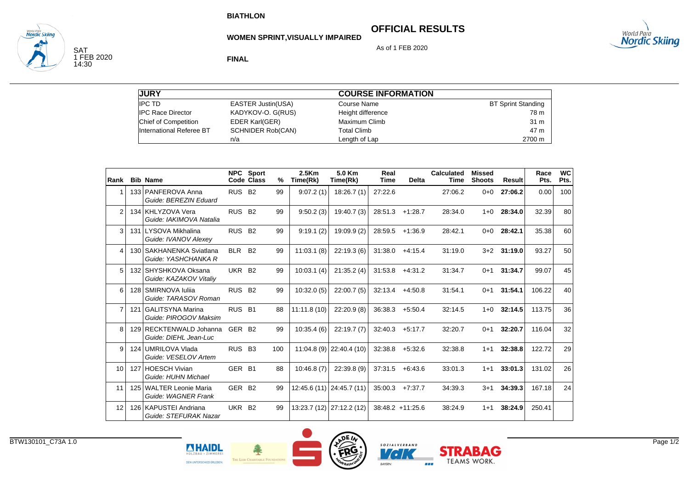**FINAL**

**WOMEN SPRINT,VISUALLY IMPAIRED**

# **OFFICIAL RESULTS**

As of 1 FEB 2020

# <sub>World Para</sub><br>**Nordic Skiing**

SAT 1 FEB 2020 14:30

wana ran<br>Nordic Skiina

**JURY** IPC TD EASTER Justin(USA) IPC Race Director KADYKOV-O. G(RUS) Chief of Competition EDER Karl(GER) International Referee BT SCHNIDER Rob(CAN) n/a **COURSE INFORMATION** Course Name BT Sprint Standing Height difference 78 m Maximum Climb 31 mTotal Climb 47 m47 m Length of Lap 2700 m

| Rank           | <b>Bib Name</b>                                  |                    | <b>NPC</b> Sport<br>Code Class | % | 2.5 <sub>km</sub><br>Time(Rk) | 5.0 Km<br>Time(Rk)        | Real<br><b>Time</b> | <b>Delta</b>       | <b>Calculated</b><br><b>Time</b> | <b>Missed</b><br><b>Shoots</b> | <b>Result</b> | Race<br>Pts. | <b>WC</b><br>Pts. |
|----------------|--------------------------------------------------|--------------------|--------------------------------|---|-------------------------------|---------------------------|---------------------|--------------------|----------------------------------|--------------------------------|---------------|--------------|-------------------|
|                | 133 PANFEROVA Anna<br>Guide: BEREZIN Eduard      | RUS B <sub>2</sub> | 99                             |   | 9:07.2(1)                     | 18:26.7(1)                | 27:22.6             |                    | 27:06.2                          | $0 + 0$                        | 27:06.2       | 0.00         | 100               |
| $\overline{2}$ | 134 KHLYZOVA Vera<br>Guide: IAKIMOVA Natalia     | RUS B <sub>2</sub> | 99                             |   | 9:50.2(3)                     | 19:40.7(3)                | 28:51.3             | $+1:28.7$          | 28:34.0                          | $1 + 0$                        | 28:34.0       | 32.39        | 80                |
| 3              | 131 LYSOVA Mikhalina<br>Guide: IVANOV Alexev     | <b>RUS</b>         | <b>B2</b><br>99                |   | 9:19.1(2)                     | 19:09.9(2)                | 28:59.5             | $+1:36.9$          | 28:42.1                          | $0 + 0$                        | 28:42.1       | 35.38        | 60                |
| 4              | 130 SAKHANENKA Sviatlana<br>Guide: YASHCHANKA R  | <b>BLR</b>         | <b>B2</b><br>99                |   | 11:03.1(8)                    | 22:19.3(6)                | 31:38.0             | $+4:15.4$          | 31:19.0                          | $3+2$                          | 31:19.0       | 93.27        | 50                |
| 5              | 132 SHYSHKOVA Oksana<br>Guide: KAZAKOV Vitaliy   | UKR                | <b>B2</b><br>99                |   | 10:03.1(4)                    | 21:35.2(4)                | 31:53.8             | $+4:31.2$          | 31:34.7                          | $0+1$                          | 31:34.7       | 99.07        | 45                |
| 6              | 128 SMIRNOVA Iulija<br>Guide: TARASOV Roman      | <b>RUS</b>         | <b>B2</b><br>99                |   | 10:32.0(5)                    | 22:00.7(5)                | 32:13.4             | $+4:50.8$          | 31:54.1                          | $0 + 1$                        | 31:54.1       | 106.22       | 40                |
| $\overline{7}$ | 121 GALITSYNA Marina<br>Guide: PIROGOV Maksim    | <b>RUS</b>         | <b>B1</b><br>88                |   | 11:11.8(10)                   | 22:20.9(8)                | 36:38.3             | $+5:50.4$          | 32:14.5                          | $1 + 0$                        | 32:14.5       | 113.75       | 36                |
| 8              | 129 RECKTENWALD Johanna<br>Guide: DIEHL Jean-Luc | GER                | <b>B2</b><br>99                |   | 10:35.4(6)                    | 22:19.7(7)                | 32:40.3             | $+5:17.7$          | 32:20.7                          | $0+1$                          | 32:20.7       | 116.04       | 32                |
| 9              | 124 UMRILOVA Vlada<br>Guide: VESELOV Artem       | <b>RUS</b>         | <b>B3</b><br>100               |   |                               | $11:04.8(9)$ 22:40.4 (10) | 32:38.8             | $+5:32.6$          | 32:38.8                          | $1 + 1$                        | 32:38.8       | 122.72       | 29                |
| 10             | 127 HOESCH Vivian<br>Guide: HUHN Michael         | GER <sub>B1</sub>  | 88                             |   | 10:46.8(7)                    | 22:39.8(9)                | 37:31.5             | $+6.43.6$          | 33:01.3                          | $1+1$                          | 33:01.3       | 131.02       | 26                |
| 11             | 125 WALTER Leonie Maria<br>Guide: WAGNER Frank   | GER                | <b>B2</b><br>99                |   |                               | 12:45.6 (11) 24:45.7 (11) | 35:00.3             | $+7:37.7$          | 34:39.3                          | $3 + 1$                        | 34:39.3       | 167.18       | 24                |
| 12             | 126 KAPUSTEI Andriana<br>Guide: STEFURAK Nazar   | UKR                | <b>B2</b><br>99                |   |                               | 13:23.7 (12) 27:12.2 (12) |                     | $38:48.2 +11:25.6$ | 38:24.9                          | $1 + 1$                        | 38:24.9       | 250.41       |                   |





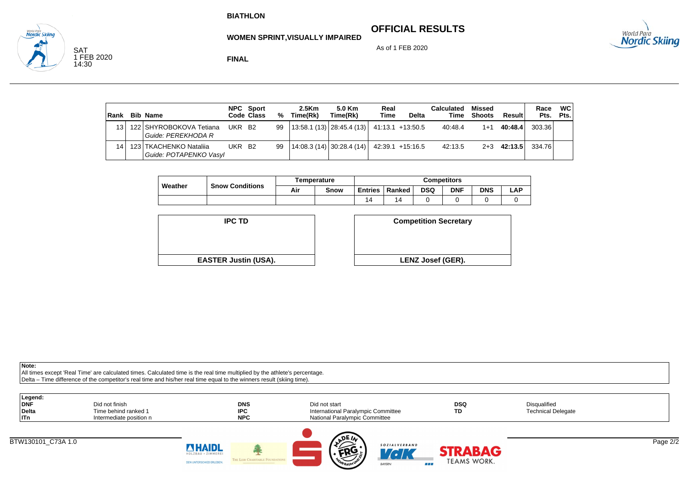## **OFFICIAL RESULTS**



As of 1 FEB 2020



SAT 1 FEB 2020 14:30

**Nordic Skiind** 

**FINAL**

| Rank            | <b>Bib Name</b>                                    |                    | NPC Sport<br>Code Class | %  | 2.5 <sub>km</sub><br>Time(Rk) | 5.0 Km<br>Time(Rk)                            | Real<br>Time | Delta | Calculated<br>Time | Missed<br><b>Shoots</b> | Resulti | Race<br>Pts. | <b>WC</b><br>Pts. |
|-----------------|----------------------------------------------------|--------------------|-------------------------|----|-------------------------------|-----------------------------------------------|--------------|-------|--------------------|-------------------------|---------|--------------|-------------------|
| 13 <sup>1</sup> | 122 SHYROBOKOVA Tetiana<br>l Guide: PEREKHODA R    | UKR B2             |                         | 99 |                               | $13:58.1(13)$ $28:45.4(13)$ $41:13.1+13.50.5$ |              |       | 40:48.4            | $1 + 1$                 | 40:48.4 | 303.36       |                   |
| 14 <sub>1</sub> | 123   TKACHENKO Natalija<br>Guide: POTAPENKO Vasyl | UKR B <sub>2</sub> |                         | 99 |                               | $14:08.3(14)$ 30:28.4 (14) 42:39.1 +15:16.5   |              |       | 42:13.5            | $2 + 3$                 | 42:13.5 | 334.76       |                   |

|         | <b>Snow Conditions</b> |     | <b>Temperature</b> | <b>Competitors</b> |        |            |            |            |      |  |
|---------|------------------------|-----|--------------------|--------------------|--------|------------|------------|------------|------|--|
| Weather |                        | Air | Snow               | <b>Entries</b>     | Ranked | <b>DSQ</b> | <b>DNF</b> | <b>DNS</b> | ∟AP. |  |
|         |                        |     |                    |                    | 14     |            |            |            |      |  |



| D                  | <b>Competition Secretary</b> |
|--------------------|------------------------------|
| t <b>in (USA).</b> | <b>LENZ Josef (GER).</b>     |

**Note:**

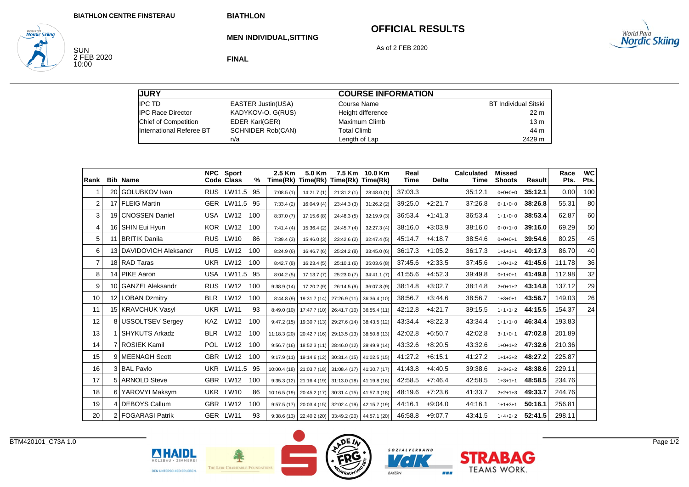# **OFFICIAL RESULTS**



SUN<br>2 FEB 2020<br>10:00

**World Para**<br>**Nordic Skiing** 

**MEN INDIVIDUAL,SITTING**

As of 2 FEB 2020

**FINAL**

| <b>JURY</b>              |                          | <b>COURSE INFORMATION</b> |                             |
|--------------------------|--------------------------|---------------------------|-----------------------------|
| <b>IPC TD</b>            | EASTER Justin(USA)       | Course Name               | <b>BT Individual Sitski</b> |
| <b>IPC Race Director</b> | KADYKOV-O. G(RUS)        | Height difference         | 22 m                        |
| Chief of Competition     | <b>EDER Karl(GER)</b>    | Maximum Climb             | 13 <sub>m</sub>             |
| International Referee BT | <b>SCHNIDER Rob(CAN)</b> | <b>Total Climb</b>        | 44 m                        |
|                          | n/a                      | Length of Lap             | 2429 m                      |

| Rank           | <b>Bib Name</b>         |            | <b>NPC</b> Sport<br>Code Class | %   | 2.5 Km     | 5.0 Km                    | 7.5 Km<br>Time(Rk) Time(Rk) Time(Rk) Time(Rk)       | 10.0 Km                                             | Real<br><b>Time</b> | <b>Delta</b> | <b>Calculated</b><br><b>Time</b> | <b>Missed</b><br><b>Shoots</b> | <b>Result</b> | Race<br>Pts. | <b>WC</b><br>Pts. |
|----------------|-------------------------|------------|--------------------------------|-----|------------|---------------------------|-----------------------------------------------------|-----------------------------------------------------|---------------------|--------------|----------------------------------|--------------------------------|---------------|--------------|-------------------|
|                | 20 GOLUBKOV Ivan        |            | <b>RUS LW11.5</b>              | 95  | 7:08.5(1)  | 14:21.7(1)                | 21:31.2(1)                                          | 28:48.0 (1)                                         | 37:03.3             |              | 35:12.1                          | $0+0+0+0$                      | 35:12.1       | 0.00         | 100               |
| $\overline{2}$ | 17 FLEIG Martin         |            | <b>GER LW11.5</b>              | 95  | 7:33.4(2)  | 16:04.9(4)                | 23:44.3(3)                                          | 31:26.2(2)                                          | 39:25.0             | $+2:21.7$    | 37:26.8                          | $0+1+0+0$                      | 38:26.8       | 55.31        | 80                |
| 3              | 19 CNOSSEN Daniel       |            | USA LW12                       | 100 | 8:37.0(7)  | 17:15.6(8)                | 24:48.3 (5)                                         | 32:19.9(3)                                          | 36:53.4             | $+1:41.3$    | 36:53.4                          | $1+1+0+0$                      | 38:53.4       | 62.87        | 60                |
| 4              | 16 SHIN Eui Hyun        |            | KOR LW12                       | 100 | 7:41.4(4)  | 15:36.4(2)                | 24:45.7 (4)                                         | 32:27.3(4)                                          | 38:16.0             | $+3:03.9$    | 38:16.0                          | $0+0+1+0$                      | 39:16.0       | 69.29        | 50                |
| 5              | 11 BRITIK Danila        |            | RUS LW10                       | 86  | 7:39.4(3)  | 15:46.0(3)                | 23:42.6 (2)                                         | 32:47.4(5)                                          | 45:14.7             | $+4:18.7$    | 38:54.6                          | $0+0+0+1$                      | 39:54.6       | 80.25        | 45                |
| 6              | 13 DAVIDOVICH Aleksandr | <b>RUS</b> | <b>LW12</b>                    | 100 | 8:24.9(6)  | 16:46.7(6)                | 25:24.2 (8)                                         | 33:45.0(6)                                          | 36:17.3             | $+1:05.2$    | 36:17.3                          | $1+1+1+1$                      | 40:17.3       | 86.70        | 40                |
| $\overline{7}$ | 18 RAD Taras            |            | UKR LW12                       | 100 | 8:42.7(8)  | 16:23.4(5)                | 25:10.1(6)                                          | 35:03.6(8)                                          | 37:45.6             | $+2:33.5$    | 37:45.6                          | $1+0+1+2$                      | 41:45.6       | 111.78       | 36                |
| 8              | 14 PIKE Aaron           |            | USA LW11.5 95                  |     | 8:04.2(5)  | 17:13.7(7)                | 25:23.0 (7)                                         | 34:41.1(7)                                          | 41:55.6             | $+4:52.3$    | 39:49.8                          | $0+1+0+1$                      | 41:49.8       | 112.98       | 32                |
| 9              | 10 GANZEI Aleksandr     |            | RUS LW12                       | 100 | 9:38.9(14) | 17:20.2 (9)               | 26:14.5 (9)                                         | 36:07.3 (9)                                         | 38:14.8             | $+3:02.7$    | 38:14.8                          | $2+0+1+2$                      | 43:14.8       | 137.12       | 29                |
| 10             | 12 LOBAN Dzmitry        | <b>BLR</b> | <b>LW12</b>                    | 100 | 8:44.8(9)  | 19:31.7 (14)              | 27:26.9 (11)                                        | 36:36.4 (10)                                        | 38:56.7             | $+3:44.6$    | 38:56.7                          | $1+3+0+1$                      | 43:56.7       | 149.03       | 26                |
| 11             | 15 KRAVCHUK Vasyl       |            | UKR LW11                       | 93  |            | 8:49.0 (10) 17:47.7 (10)  | 26:41.7 (10)                                        | 36:55.4 (11)                                        | 42:12.8             | $+4:21.7$    | 39:15.5                          | $1+1+1+2$                      | 44:15.5       | 154.37       | 24                |
| 12             | 8 USSOLTSEV Sergey      |            | KAZ LW12                       | 100 | 9:47.2(15) | 19:30.7 (13)              | 29:27.6 (14)                                        | 38:43.5 (12)                                        | 43:34.4             | $+8:22.3$    | 43:34.4                          | $1+1+1+0$                      | 46:34.4       | 193.83       |                   |
| 13             | <b>SHYKUTS Arkadz</b>   | <b>BLR</b> | <b>LW12</b>                    | 100 |            | 11:18.3 (20) 20:42.7 (16) | 29:13.5 (13)                                        | 38:50.8 (13)                                        | 42:02.8             | $+6:50.7$    | 42:02.8                          | $3+1+0+1$                      | 47:02.8       | 201.89       |                   |
| 14             | 7 ROSIEK Kamil          |            | POL LW12                       | 100 | 9:56.7(16) | 18:52.3 (11)              | 28:46.0 (12)                                        | 39:49.9 (14)                                        | 43:32.6             | $+8:20.5$    | 43:32.6                          | $1+0+1+2$                      | 47:32.6       | 210.36       |                   |
| 15             | 9 MEENAGH Scott         |            | GBR LW12                       | 100 |            | $9:17.9(11)$ 19:14.6 (12) | $30:31.4(15)$ 41:02.5(15)                           |                                                     | 41:27.2             | $+6:15.1$    | 41:27.2                          | $1+1+3+2$                      | 48:27.2       | 225.87       |                   |
| 16             | 3 BAL Pavlo             |            | UKR LW11.5 95                  |     |            |                           | 10:00.4 (18) 21:03.7 (18) 31:08.4 (17)              | 41:30.7(17)                                         | 41:43.8             | $+4:40.5$    | 39:38.6                          | $2+3+2+2$                      | 48:38.6       | 229.11       |                   |
| 17             | 5 ARNOLD Steve          |            | GBR LW12                       | 100 |            |                           | $9:35.3(12)$ 21:16.4 (19) 31:13.0 (18) 41:19.8 (16) |                                                     | 42:58.5             | $+7:46.4$    | 42:58.5                          | $1+3+1+1$                      | 48:58.5       | 234.76       |                   |
| 18             | 6 YAROVYI Maksym        |            | UKR LW10                       | 86  |            |                           | 10:16.5 (19) 20:45.2 (17) 30:31.4 (15) 41:57.3 (18) |                                                     | 48:19.6             | $+7:23.6$    | 41:33.7                          | $2+2+1+3$                      | 49:33.7       | 244.76       |                   |
| 19             | 4 DEBOYS Callum         |            | GBR LW12                       | 100 |            |                           | $9:57.5(17)$ 20:03.4 (15) 32:02.4 (19)              | 42:15.7 (19)                                        | 44:16.1             | $+9:04.0$    | 44:16.1                          | $1+1+3+1$                      | 50:16.1       | 256.81       |                   |
| 20             | 2 FOGARASI Patrik       |            | GER LW11                       | 93  |            |                           |                                                     | $9:38.6(13)$ 22:40.2 (20) 33:49.2 (20) 44:57.1 (20) | 46:58.8             | $+9:07.7$    | 43:41.5                          | $1+4+2+2$                      | 52:41.5       | 298.11       |                   |

**NHAIDL** 

HOLZBAU · ZIMMEREL

DEN UNTERSCHIED ERLEBEN.

THE LEIR CHARITABLE FOUNDAY





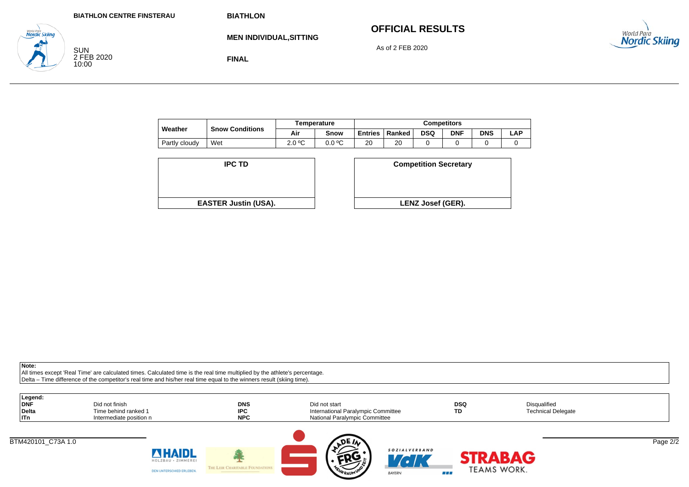# **OFFICIAL RESULTS**

As of 2 FEB 2020



SUN 2 FEB 2020 10:00

**Nordic Skiina** 

**FINAL**

**MEN INDIVIDUAL,SITTING**

|               |                        |        | <b>Temperature</b> | Competitors    |        |            |     |            |     |  |
|---------------|------------------------|--------|--------------------|----------------|--------|------------|-----|------------|-----|--|
| Weather       | <b>Snow Conditions</b> | Air    | Snow               | <b>Entries</b> | Ranked | <b>DSQ</b> | DNF | <b>DNS</b> | ∟AP |  |
| Partly cloudy | Wet                    | 2.0 °C | 0.0 °C             | 20             | 20     |            |     |            |     |  |

| <b>IPC TD</b>               | <b>Competition Secreta</b> |
|-----------------------------|----------------------------|
|                             |                            |
|                             |                            |
| <b>EASTER Justin (USA).</b> | <b>LENZ Josef (GER).</b>   |

| D                  | <b>Competition Secretary</b> |  |
|--------------------|------------------------------|--|
|                    |                              |  |
| t <b>in (USA).</b> | <b>LENZ Josef (GER).</b>     |  |
|                    |                              |  |

**Note:**

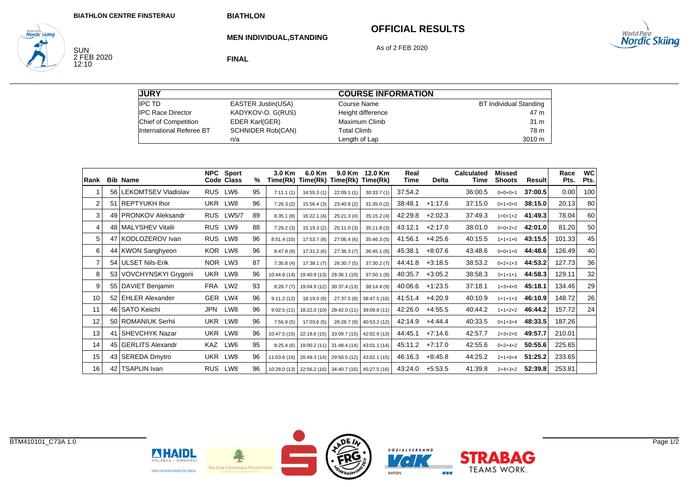**MEN INDIVIDUAL,STANDING**

## **OFFICIAL RESULTS**

**STRABAG** 

**TEAMS WORK.** 

88 E

As of 2 FEB 2020



SUN<br>2 FEB 2020<br>12:10

**World Para**<br>**Nordic Skiing** 

**FINAL**

**JURY** IPC TD EASTER Justin(USA) IPC Race Director KADYKOV-O. G(RUS) Chief of Competition EDER Karl(GER) International Referee BT SCHNIDER Rob(CAN) n/a **COURSE INFORMATION** Course Name BT Individual Standing Height difference 47 m Maximum Climbb 31 m Total Climb 78 m78 m Length of Lap 3010 m

| Rank              |    | <b>Bib Name</b>          | <b>NPC</b> | Sport<br>Code Class | %  | 3.0 Km       | 6.0 Km<br>Time(Rk) Time(Rk) Time(Rk)                | 9.0 Km       | 12.0 Km<br>Time(Rk) | Real<br>Time | <b>Delta</b> | <b>Calculated</b><br>Time | <b>Missed</b><br><b>Shoots</b> | Result  | Race<br>Pts. | <b>WC</b><br>Pts. |
|-------------------|----|--------------------------|------------|---------------------|----|--------------|-----------------------------------------------------|--------------|---------------------|--------------|--------------|---------------------------|--------------------------------|---------|--------------|-------------------|
|                   |    | 56   LEKOMTSEV Vladislav | <b>RUS</b> | LW6                 | 95 | 7:11.1(1)    | 14:55.3(1)                                          | 22:09.1(1)   | 30:33.7(1)          | 37:54.2      |              | 36:00.5                   | $0+0+0+1$                      | 37:00.5 | 0.00         | 100               |
| $\overline{2}$    |    | 51 REPTYUKH Ihor         | UKR        | LW8                 | 96 | 7:26.3(2)    | 15:56.4(3)                                          | 23:40.8 (2)  | 31:35.0(2)          | 38:48.1      | $+1:17.6$    | 37:15.0                   | $0+1+0+0$                      | 38:15.0 | 20.13        | 80                |
| 3                 |    | 49   PRONKOV Aleksandr   |            | RUS LW5/7           | 89 | 8:35.1(8)    | 16:22.1(4)                                          | 25:21.3(4)   | 35:15.2(4)          | 42:29.8      | $+2:02.3$    | 37:49.3                   | $1+0+1+2$                      | 41:49.3 | 78.04        | 60                |
| 4                 |    | 48 MALYSHEV Vitalii      | <b>RUS</b> | LW9                 | 88 | 7:29.2(3)    | 15:19.3(2)                                          | 25:11.0(3)   | 35:11.8(3)          | 43:12.1      | $+2:17.0$    | 38:01.0                   | $0+0+2+2$                      | 42:01.0 | 81.20        | 50                |
| 5                 | 47 | KODLOZEROV Ivan          | <b>RUS</b> | LW8                 | 96 | 8:51.4(10)   | 17:53.7 (8)                                         | 27:06.4(6)   | 35:46.3(5)          | 41:56.1      | $+4:25.6$    | 40:15.5                   | $1+1+1+0$                      | 43:15.5 | 101.33       | 45                |
| 6                 |    | 44 KWON Sanghyeon        | KOR LW8    |                     | 96 | 8:47.8(9)    | 17:31.2 (6)                                         | 27:36.3(7)   | 36:45.1(6)          | 45:38.1      | $+8:07.6$    | 43:48.6                   | $0+0+1+0$                      | 44:48.6 | 126.49       | 40                |
| $\overline{7}$    |    | 54 ULSET Nils-Erik       | NOR LW3    |                     | 87 | 7:35.8(4)    | 17:38.1(7)                                          | 26:30.7 (5)  | 37:30.2(7)          | 44:41.8      | $+3:18.5$    | 38:53.2                   | $0+2+1+3$                      | 44:53.2 | 127.73       | 36                |
| 8                 |    | 53 VOVCHYNSKYI Grygorii  | UKR        | LW8                 | 96 | 10:44.8 (14) | 19:40.9 (13)                                        | 28:36.1 (10) | 37:50.1(8)          | 40:35.7      | $+3:05.2$    | 38:58.3                   | $3+1+1+1$                      | 44:58.3 | 129.11       | 32                |
| 9                 |    | 55 DAVIET Benjamin       | FRA LW2    |                     | 93 | 8:28.7(7)    | 19:04.9 (12)                                        | 30:37.4(13)  | 38:14.4(9)          | 40:06.6      | $+1:23.5$    | 37:18.1                   | $1+3+4+0$                      | 45:18.1 | 134.46       | 29                |
| 10                |    | 52 EHLER Alexander       | GER LW4    |                     | 96 | 9:11.2(12)   | 18:19.0 (9)                                         | 27:37.5 (8)  | 38:47.5 (10)        | 41:51.4      | $+4:20.9$    | 40:10.9                   | $1+1+1+3$                      | 46:10.9 | 148.72       | 26                |
| 11                |    | 46 SATO Keiichi          | JPN        | LW8                 | 96 | 9:02.5(11)   | 18:22.0 (10) 28:42.0 (11)                           |              | 39:09.8 (11)        | 42:26.0      | $+4.55.5$    | 40:44.2                   | $1+1+2+2$                      | 46:44.2 | 157.72       | 24                |
| $12 \overline{ }$ |    | 50 ROMANIUK Serhii       | <b>UKR</b> | LW8                 | 96 | 7:56.9(5)    | 17:03.6(5)                                          | 28:28.7 (9)  | 40:53.2 (12)        | 42:14.9      | $+4:44.4$    | 40:33.5                   | $0+1+3+4$                      | 48:33.5 | 187.26       |                   |
| 13                | 41 | <b>SHEVCHYK Nazar</b>    | <b>UKR</b> | LW8                 | 96 | 10:47.5(15)  | 22:18.6 (15) 33:09.7 (15)                           |              | 42:02.9 (13)        | 44:45.1      | $+7:14.6$    | 42:57.7                   | $2+3+2+0$                      | 49:57.7 | 210.01       |                   |
| 14                |    | 45 GERLITS Alexandr      | KAZ        | LW6                 | 95 |              | $8:25.4(6)$ 19:00.2 (11) 31:48.4 (14)               |              | 43:01.1 (14)        | 45:11.2      | $+7:17.0$    | 42:55.6                   | $0+2+4+2$                      | 50:55.6 | 225.65       |                   |
| 15                |    | 43 SEREDA Dmytro         | UKR LW8    |                     | 96 |              | 11:03.6 (16) 20:49.3 (14) 29:50.5 (12)              |              | 43:02.1 (15)        | 46:16.3      | $+8:45.8$    | 44:25.2                   | $2+1+0+4$                      | 51:25.2 | 233.65       |                   |
| 16                | 42 | <b>TSAPLIN Ivan</b>      | <b>RUS</b> | LW8                 | 96 |              | 10:28.0 (13) 22:56.2 (16) 34:40.7 (16) 45:27.5 (16) |              |                     | 43:24.0      | $+5.53.5$    | 41:39.8                   | $2+4+3+2$                      | 52:39.8 | 253.81       |                   |



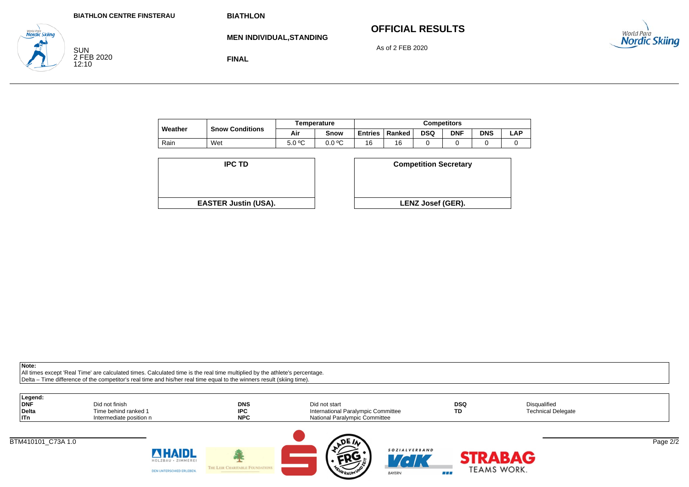| <b>BIATHLON CENTRE FINSTERAU</b> |  |  |  |
|----------------------------------|--|--|--|
|----------------------------------|--|--|--|

# **OFFICIAL RESULTS**



SUN 2 FEB 2020 12:10

**Nordic Skiina** 

**MEN INDIVIDUAL,STANDING** As of 2 FEB 2020

**FINAL**

|         |                        |        | Temperature | Competitors    |        |            |            |            |     |  |
|---------|------------------------|--------|-------------|----------------|--------|------------|------------|------------|-----|--|
| Weather | <b>Snow Conditions</b> | Air    | Snow        | <b>Entries</b> | Ranked | <b>DSQ</b> | <b>DNF</b> | <b>DNS</b> | LAP |  |
| Rain    | Wet                    | 5.0 °C | 0.0 °C      | 16             | 16     |            |            |            |     |  |

| <b>IPC TD</b>               | <b>Competition Secreta</b> |
|-----------------------------|----------------------------|
|                             |                            |
|                             |                            |
|                             |                            |
| <b>EASTER Justin (USA).</b> | <b>LENZ Josef (GER).</b>   |

| D                  | <b>Competition Secretary</b> |
|--------------------|------------------------------|
|                    |                              |
| t <b>in (USA).</b> | <b>LENZ Josef (GER).</b>     |
|                    |                              |

**Note:**

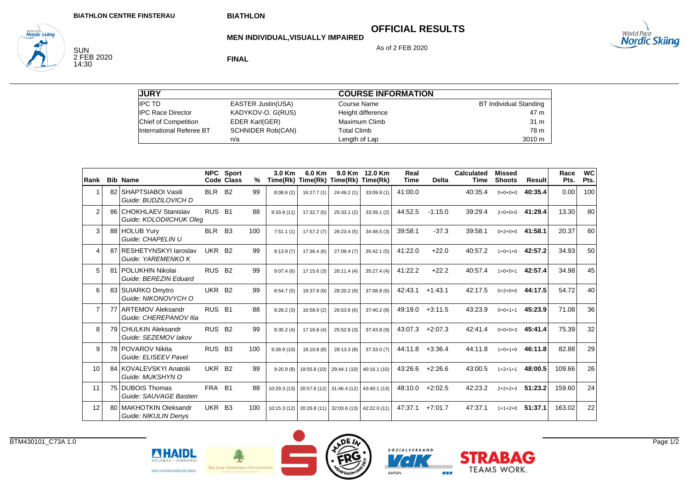# **OFFICIAL RESULTS**



**MEN INDIVIDUAL,VISUALLY IMPAIRED**

As of 2 FEB 2020

SUN<br>2 FEB 2020<br>14:30

*Norta Para*<br>**Nordic Skiing** 

**FINAL**

| <b>JURY</b>              |                           | <b>COURSE INFORMATION</b> |                               |
|--------------------------|---------------------------|---------------------------|-------------------------------|
| <b>IPC TD</b>            | <b>EASTER Justin(USA)</b> | Course Name               | <b>BT Individual Standing</b> |
| <b>IPC Race Director</b> | KADYKOV-O. G(RUS)         | Height difference         | 47 m                          |
| Chief of Competition     | EDER Karl(GER)            | Maximum Climb             | 31 m                          |
| International Referee BT | <b>SCHNIDER Rob(CAN)</b>  | <b>Total Climb</b>        | 78 m                          |
|                          | n/a                       | Length of Lap             | 3010 m                        |

| Rank           |    | <b>Bib Name</b>                                    |                    | <b>NPC</b> Sport<br>Code Class | %   | 3.0 Km<br>Time(Rk) Time(Rk) Time(Rk) | 6.0 Km                                 | 9.0 Km      | 12.0 Km<br>Time(Rk) | Real<br><b>Time</b> | <b>Delta</b> | <b>Calculated</b><br>Time | <b>Missed</b><br><b>Shoots</b> | Result  | Race<br>Pts. | <b>WC</b><br>Pts. |
|----------------|----|----------------------------------------------------|--------------------|--------------------------------|-----|--------------------------------------|----------------------------------------|-------------|---------------------|---------------------|--------------|---------------------------|--------------------------------|---------|--------------|-------------------|
|                | 82 | SHAPTSIABOI Vasili<br>Guide: BUDZILOVICH D         | BLR B2             |                                | 99  | 8:08.6(2)                            | 16:27.7(1)                             | 24:49.2 (1) | 33:09.8 (1)         | 41:00.0             |              | 40:35.4                   | $0+0+0+0$                      | 40:35.4 | 0.00         | 100               |
| 2              |    | 86 CHOKHLAEV Stanislav<br>Guide: KOLODIICHUK Olea  | RUS B1             |                                | 88  | 9:33.9(11)                           | 17:32.7(5)                             | 25:33.1 (2) | 33:39.1(2)          | 44:52.5             | $-1:15.0$    | 39:29.4                   | $2+0+0+0$                      | 41:29.4 | 13.30        | 80                |
| 3              |    | 88 HOLUB Yurv<br>Guide: CHAPELIN U                 | <b>BLR</b>         | <b>B3</b>                      | 100 | 7:51.1(1)                            | 17:57.2(7)                             | 26:23.4 (5) | 34:48.5(3)          | 39:58.1             | $-37.3$      | 39:58.1                   | $0+2+0+0$                      | 41:58.1 | 20.37        | 60                |
| 4              | 87 | <b>RESHETYNSKYI laroslav</b><br>Guide: YAREMENKO K | <b>UKR</b>         | <b>B2</b>                      | 99  | 9:13.9(7)                            | 17:36.4(6)                             | 27:09.4(7)  | 35:42.1(5)          | 41:22.0             | $+22.0$      | 40:57.2                   | $1+0+1+0$                      | 42:57.2 | 34.93        | 50                |
| 5              |    | 81 POLUKHIN Nikolai<br>Guide: BEREZIN Eduard       | RUS B <sub>2</sub> |                                | 99  | 9:07.4(6)                            | 17:15.6(3)                             | 26:11.4 (4) | 35:27.4(4)          | 41:22.2             | $+22.2$      | 40:57.4                   | $1+0+0+1$                      | 42:57.4 | 34.98        | 45                |
| 6              |    | 83 SUIARKO Dmytro<br>Guide: NIKONOVYCH O           | UKR B <sub>2</sub> |                                | 99  | 8:54.7(5)                            | 19:37.9 (9)                            | 28:20.2 (9) | 37:08.8(6)          | 42:43.1             | $+1:43.1$    | 42:17.5                   | $0+2+0+0$                      | 44:17.5 | 54.72        | 40                |
| $\overline{7}$ |    | 77 ARTEMOV Aleksandr<br>Guide: CHEREPANOV Ilia     | RUS B1             |                                | 88  | 8:28.2(3)                            | 16:58.9 (2)                            | 26:53.6 (6) | 37:40.2(8)          | 49:19.0             | $+3:11.5$    | 43:23.9                   | $0+0+1+1$                      | 45:23.9 | 71.08        | 36                |
| 8              |    | 79 CHULKIN Aleksandr<br>Guide: SEZEMOV lakov       | RUS B <sub>2</sub> |                                | 99  | 8:35.2(4)                            | 17:16.8(4)                             | 25:52.8(3)  | 37:43.8(9)          | 43:07.3             | $+2:07.3$    | 42:41.4                   | $0+0+0+3$                      | 45:41.4 | 75.39        | 32                |
| 9              |    | 78 POVAROV Nikita<br>Guide: ELISEEV Pavel          | RUS B <sub>3</sub> |                                | 100 | 9:28.9(10)                           | 18:10.8(8)                             | 28:13.3 (8) | 37:33.0 (7)         | 44:11.8             | $+3:36.4$    | 44:11.8                   | $1+0+1+0$                      | 46:11.8 | 82.88        | 29                |
| 10             |    | 84 KOVALEVSKYI Anatolii<br>Guide: MUKSHYN O        | UKR B <sub>2</sub> |                                | 99  |                                      | $9:20.9(8)$ 19:55.8 (10) 29:44.1 (10)  |             | 40:16.1(10)         | 43:26.6             | $+2:26.6$    | 43:00.5                   | $1+2+1+1$                      | 48:00.5 | 109.66       | 26                |
| 11             |    | 75 DUBOIS Thomas<br>Guide: SAUVAGE Bastien         | FRA B1             |                                | 88  |                                      | 10:29.3 (13) 20:57.6 (12) 31:46.4 (12) |             | 43:40.1(13)         | 48:10.0             | $+2:02.5$    | 42:23.2                   | $2+2+2+3$                      | 51:23.2 | 159.60       | 24                |
| 12             |    | 80 MAKHOTKIN Oleksandr<br>Guide: NIKULIN Denys     | UKR B3             |                                | 100 |                                      | 10:15.3 (12) 20:26.8 (11) 32:03.6 (13) |             | 42:22.0 (11)        | 47:37.1             | $+7:01.7$    | 47:37.1                   | $1+1+2+0$                      | 51:37.1 | 163.02       | 22                |





BAYERN

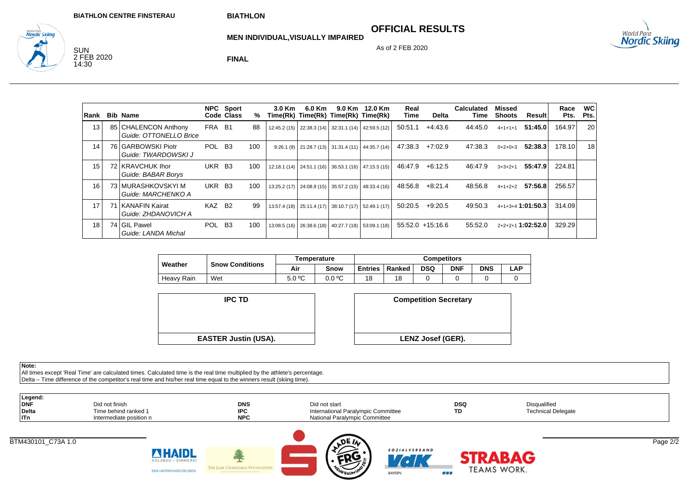**OFFICIAL RESULTS**

As of 2 FEB 2020

<sub>World Para</sub><br>**Nordic Skiing** 

<sub>wortd Para</sub><br>**Nordic Skiina** SUN 2 FEB 2020 14:30

**MEN INDIVIDUAL,VISUALLY IMPAIRED**

**FINAL**

| Rank | <b>Bib Name</b>                                |                    | NPC Sport<br>Code Class | %   | $3.0$ Km | 6.0 Km | 9.0 Km<br>Time(Rk) Time(Rk) Time(Rk) Time(Rk)       | 12.0 Km                                             | Real<br>Time | Delta               | <b>Calculated</b><br>Time | Missed<br><b>Shoots</b> | Result            | Race<br>Pts. | <b>WC</b><br>Pts. |
|------|------------------------------------------------|--------------------|-------------------------|-----|----------|--------|-----------------------------------------------------|-----------------------------------------------------|--------------|---------------------|---------------------------|-------------------------|-------------------|--------------|-------------------|
| 13   | 85 CHALENCON Anthony<br>Guide: OTTONELLO Brice | FRA B1             |                         | 88  |          |        | 12:45.2 (15) 22:38.3 (14) 32:31.1 (14) 42:59.5 (12) |                                                     | 50:51.1      | $+4:43.6$           | 44:45.0                   | $4 + 1 + 1 + 1$         | 51:45.0           | 164.97       | 20                |
| 14   | 76 GARBOWSKI Piotr<br>Guide: TWARDOWSKI J      | POL B <sub>3</sub> |                         | 100 |          |        | $9:26.1(9)$ 21:28.7 (13) 31:31.4 (11) 44:35.7 (14)  |                                                     | 47:38.3      | $+7:02.9$           | 47:38.3                   | $0+2+0+3$               | 52:38.3           | 178.10       | 18                |
| 15   | 72 KRAVCHUK Ihor<br>Guide: BABAR Borys         | UKR B3             |                         | 100 |          |        |                                                     | 12:18.1 (14) 24:51.1 (16) 36:53.1 (16) 47:15.5 (15) | 46:47.9      | $+6:12.5$           | 46:47.9                   | $3+3+2+1$               | 55:47.9           | 224.81       |                   |
| 16   | 73 MURASHKOVSKYI M<br>Guide: MARCHENKO A       | UKR                | <b>B3</b>               | 100 |          |        | 13:25.2 (17) 24:08.9 (15) 35:57.2 (15)              | 48:33.4 (16)                                        | 48:56.8      | $+8:21.4$           | 48:56.8                   | $4+1+2+2$               | 57:56.8           | 256.57       |                   |
| 17   | 71 KANAFIN Kairat<br>Guide: ZHDANOVICH A       | KAZ B <sub>2</sub> |                         | 99  |          |        |                                                     | 13:57.4 (18) 25:11.4 (17) 38:10.7 (17) 52:49.1 (17) | 50:20.5      | $+9:20.5$           | 49:50.3                   |                         | 4+1+3+4 1:01:50.3 | 314.09       |                   |
| 18   | 74 GIL Pawel<br>Guide: LANDA Michal            | POL B <sub>3</sub> |                         | 100 |          |        | 13:08.5 (16) 26:38.6 (18) 40:27.7 (18) 53:09.1 (18) |                                                     |              | $55:52.0 + 15:16.6$ | 55:52.0                   |                         | 2+2+2+1 1:02:52.0 | 329.29       |                   |

|            |                        |        | Temperature | <b>Competitors</b> |        |     |            |            |            |  |
|------------|------------------------|--------|-------------|--------------------|--------|-----|------------|------------|------------|--|
| Weather    | <b>Snow Conditions</b> | Air    | Snow        | Entries            | Ranked | DSQ | <b>DNF</b> | <b>DNS</b> | <b>LAP</b> |  |
| Heavy Rain | Wet                    | 5.0 °C | 0.0 °C      | 18                 | 18     |     |            |            |            |  |

**IPC TD**



**Note:**

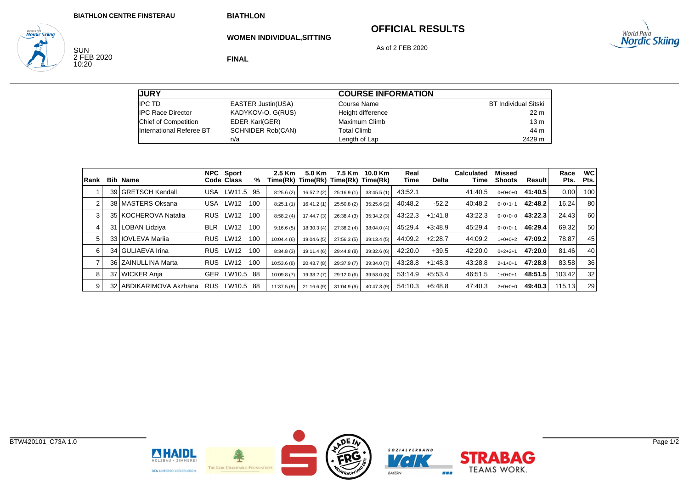**WOMEN INDIVIDUAL,SITTING**

## **OFFICIAL RESULTS**



SUN<br>2 FEB 2020<br>10:20

**World Para**<br>**Nordic Skiing** 

**FINAL**

As of 2 FEB 2020

| <b>JURY</b>                 |                           | <b>COURSE INFORMATION</b> |                      |
|-----------------------------|---------------------------|---------------------------|----------------------|
| <b>IPC TD</b>               | <b>EASTER Justin(USA)</b> | Course Name               | BT Individual Sitski |
| <b>IPC Race Director</b>    | KADYKOV-O. G(RUS)         | Height difference         | 22 <sub>m</sub>      |
| <b>Chief of Competition</b> | EDER Karl(GER)            | Maximum Climb             | 13 <sub>m</sub>      |
| International Referee BT    | <b>SCHNIDER Rob(CAN)</b>  | <b>Total Climb</b>        | 44 m                 |
|                             | n/a                       | Length of Lap             | 2429 m               |

| Rank | <b>Bib Name</b>         |            | NPC Sport<br>Code Class | %   | 2.5 Km     | 5.0 Km      | 7.5 Km      | 10.0 Km<br>Time(Rk) Time(Rk) Time(Rk) Time(Rk) | Real<br>Time | Delta     | <b>Calculated</b><br>Time | Missed<br><b>Shoots</b> | Result  | Race<br>Pts. | <b>WC</b><br>Pts. |
|------|-------------------------|------------|-------------------------|-----|------------|-------------|-------------|------------------------------------------------|--------------|-----------|---------------------------|-------------------------|---------|--------------|-------------------|
|      | 39 GRETSCH Kendall      | <b>USA</b> | LW11.5                  | 95  | 8:25.6(2)  | 16:57.2(2)  | 25:16.9(1)  | 33:45.5(1)                                     | 43:52.1      |           | 41:40.5                   | $0+0+0+0$               | 41:40.5 | 0.00         | 100               |
|      | 38 MASTERS Oksana       | USA        | LW12                    | 100 | 8:25.1(1)  | 16:41.2(1)  | 25:50.8(2)  | 35:25.6(2)                                     | 40:48.2      | $-52.2$   | 40:48.2                   | $0+0+1+1$               | 42:48.2 | 16.24        | 80                |
| 3    | 35 KOCHEROVA Natalia    | <b>RUS</b> | LW12                    | 100 | 8:58.2(4)  | 17:44.7(3)  | 26:38.4(3)  | 35:34.2(3)                                     | 43:22.3      | $+1:41.8$ | 43:22.3                   | $0+0+0+0$               | 43:22.3 | 24.43        | 60                |
| 4    | 31 LOBAN Lidziya        | <b>BLR</b> | LW12                    | 100 | 9:16.6(5)  | 18:30.3(4)  | 27:38.2(4)  | 38:04.0(4)                                     | 45:29.4      | $+3:48.9$ | 45:29.4                   | $0+0+0+1$               | 46:29.4 | 69.32        | 50                |
| 5.   | 33 I IOVLEVA Marija     | <b>RUS</b> | LW12                    | 100 | 10:04.4(6) | 19:04.6(5)  | 27:56.3(5)  | 39:13.4(5)                                     | 44:09.2      | $+2:28.7$ | 44:09.2                   | $1+0+0+2$               | 47:09.2 | 78.87        | 45                |
| 6    | 34 GULIAEVA Irina       | <b>RUS</b> | <b>LW12</b>             | 100 | 8:34.8(3)  | 19:11.4 (6) | 29:44.8 (8) | 39:32.6 (6)                                    | 42:20.0      | $+39.5$   | 42:20.0                   | $0+2+2+1$               | 47:20.0 | 81.46        | 40                |
|      | 36 ZAINULLINA Marta     | <b>RUS</b> | LW12                    | 100 | 10:53.6(8) | 20:43.7 (8) | 29:37.9 (7) | 39:34.0 (7)                                    | 43:28.8      | $+1:48.3$ | 43:28.8                   | $2+1+0+1$               | 47:28.8 | 83.58        | 36                |
| 8    | 37 WICKER Anja          | <b>GER</b> | LW10.5                  | -88 | 10:09.8(7) | 19:38.2(7)  | 29:12.0 (6) | 39:53.0 (8)                                    | 53:14.9      | $+5:53.4$ | 46:51.5                   | $1+0+0+1$               | 48:51.5 | 103.42       | 32                |
| 9    | 32 ABDIKARIMOVA Akzhana | RUS.       | LW10.5                  | -88 | 11:37.5(9) | 21:16.6(9)  | 31:04.9(9)  | 40:47.3(9)                                     | 54:10.3      | +6:48.8   | 47:40.3                   | $2+0+0+0$               | 49:40.3 | 115.13       | 29                |



**NHAIDL** 

HOLZBAU · ZIMMEREL

DEN UNTERSCHIED ERLEBEN.



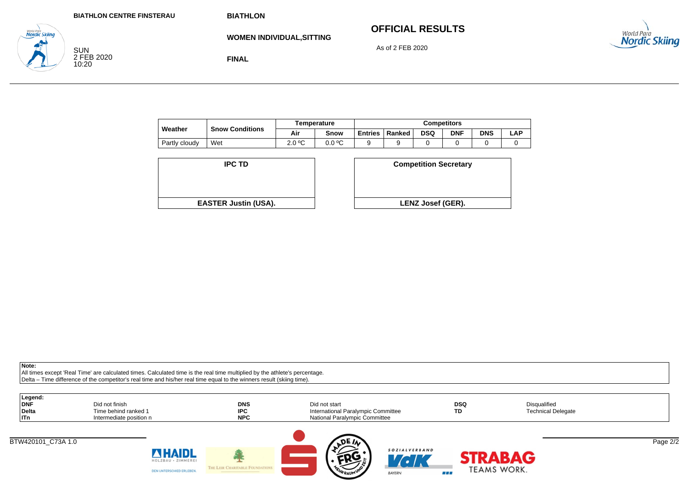# **OFFICIAL RESULTS**



SUN 2 FEB 2020 10:20

<sub>wortd Para</sub><br>**Nordic Skiina** 

**WOMEN INDIVIDUAL,SITTING**

As of 2 FEB 2020

**FINAL**

|               |                        |        | Temperature | <b>Competitors</b> |        |            |            |            |     |  |  |
|---------------|------------------------|--------|-------------|--------------------|--------|------------|------------|------------|-----|--|--|
| Weather       | <b>Snow Conditions</b> | Air    | Snow        | <b>Entries</b>     | Ranked | <b>DSQ</b> | <b>DNF</b> | <b>DNS</b> | ∟AP |  |  |
| Partly cloudy | Wet                    | 2.0 °C | 0.0 °C      |                    |        |            |            |            | ີ   |  |  |

| <b>IPC TD</b>               | <b>Competition Secreta</b> |
|-----------------------------|----------------------------|
|                             |                            |
|                             |                            |
|                             |                            |
| <b>EASTER Justin (USA).</b> | <b>LENZ Josef (GER).</b>   |

| D                  | <b>Competition Secretary</b> |  |
|--------------------|------------------------------|--|
|                    |                              |  |
| t <b>in (USA).</b> | LENZ Josef (GER).            |  |
|                    |                              |  |

**Note:**

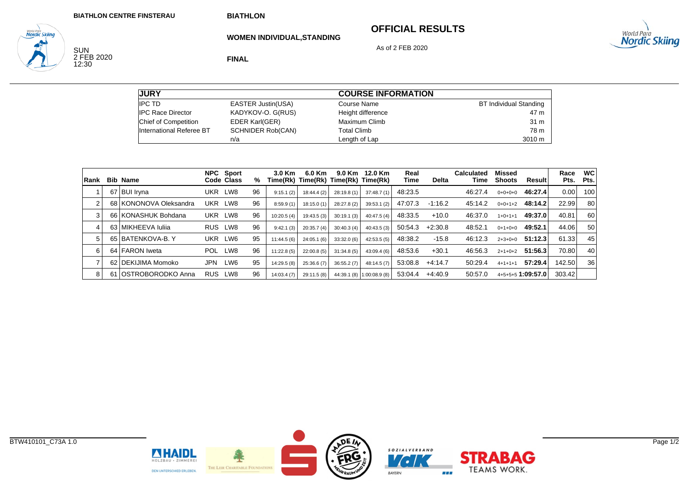### **OFFICIAL RESULTS**

SOZIALVERBAND

88 E

 $V\epsilon$ 

BAYERN

**STRABAG** 

**TEAMS WORK.** 

As of 2 FEB 2020



**WOMEN INDIVIDUAL,STANDING**

SUN<br>2 FEB 2020<br>12:30

**World Para**<br>**Nordic Skiing** 

**FINAL**

| <b>JURY</b>                 |                          | <b>COURSE INFORMATION</b> |                        |
|-----------------------------|--------------------------|---------------------------|------------------------|
| <b>IPC TD</b>               | EASTER Justin(USA)       | Course Name               | BT Individual Standing |
| <b>IPC Race Director</b>    | KADYKOV-O. G(RUS)        | Height difference         | 47 m                   |
| <b>Chief of Competition</b> | <b>EDER Karl(GER)</b>    | Maximum Climb             | 31 m                   |
| International Referee BT    | <b>SCHNIDER Rob(CAN)</b> | Total Climb               | 78 m                   |
|                             | n/a                      | Length of Lap             | 3010 m                 |

| <b>IRank</b> | <b>Bib Name</b>        |            | NPC Sport<br>Code Class | %  | $3.0$ Km<br>Time(Rk) Time(Rk) Time(Rk) Time(Rk) | 6.0 Km      |             | 9.0 Km 12.0 Km            | Real<br>Time | <b>Delta</b> | <b>Calculated</b><br>Time | <b>Missed</b><br><b>Shoots</b> | Result            | Race<br>Pts. | <b>WC</b><br>Pts. |
|--------------|------------------------|------------|-------------------------|----|-------------------------------------------------|-------------|-------------|---------------------------|--------------|--------------|---------------------------|--------------------------------|-------------------|--------------|-------------------|
|              | 67 BUI Iryna           | <b>UKR</b> | LW8                     | 96 | 9:15.1(2)                                       | 18:44.4 (2) | 28:19.8 (1) | 37:48.7(1)                | 48:23.5      |              | 46.27.4                   | $0+0+0+0$                      | 46:27.4           | 0.00         | 100               |
| 2            | 68 KONONOVA Oleksandra | UKR        | LW8                     | 96 | 8:59.9(1)                                       | 18:15.0(1)  | 28:27.8 (2) | 39:53.1(2)                | 47:07.3      | $-1:16.2$    | 45:14.2                   | $0+0+1+2$                      | 48:14.2           | 22.99        | 80                |
| 3            | 66 KONASHUK Bohdana    | <b>UKR</b> | LW8                     | 96 | 10:20.5(4)                                      | 19:43.5(3)  | 30:19.1(3)  | 40:47.5(4)                | 48:33.5      | $+10.0$      | 46:37.0                   | $1+0+1+1$                      | 49:37.0           | 40.81        | 60                |
| 4            | 63 MIKHEEVA Iulija     | <b>RUS</b> | LW8                     | 96 | 9:42.1(3)                                       | 20:35.7(4)  | 30:40.3(4)  | 40:43.5(3)                | 50:54.3      | $+2:30.8$    | 48:52.1                   | $0+1+0+0$                      | 49:52.1           | 44.06        | 50                |
| 5            | 65 BATENKOVA-B.Y       | <b>UKR</b> | LW6                     | 95 | 11:44.5(6)                                      | 24:05.1(6)  | 33:32.0(6)  | 42:53.5(5)                | 48:38.2      | $-15.8$      | 46:12.3                   | $2+3+0+0$                      | 51:12.3           | 61.33        | 45                |
| 6            | 64 FARON Iweta         | POL.       | LW8                     | 96 | 11:22.8(5)                                      | 22:00.8(5)  | 31:34.8(5)  | 43:09.4(6)                | 48.53.6      | $+30.1$      | 46:56.3                   | $2+1+0+2$                      | 51:56.3           | 70.80        | 40                |
|              | 62 DEKIJIMA Momoko     | <b>JPN</b> | LW <sub>6</sub>         | 95 | 14:29.5(8)                                      | 25:36.6(7)  | 36:55.2(7)  | 48:14.5(7)                | 53:08.8      | $+4:14.7$    | 50:29.4                   | $4+1+1+1$                      | 57:29.4           | 142.50       | 36 <sup>°</sup>   |
| 8            | 61 OSTROBORODKO Anna   | <b>RUS</b> | LW8                     | 96 | 14:03.4(7)                                      | 29:11.5 (8) |             | 44:39.1 (8) 1:00:08.9 (8) | 53:04.4      | $+4:40.9$    | 50:57.0                   |                                | 4+5+5+5 1:09:57.0 | 303.42       |                   |

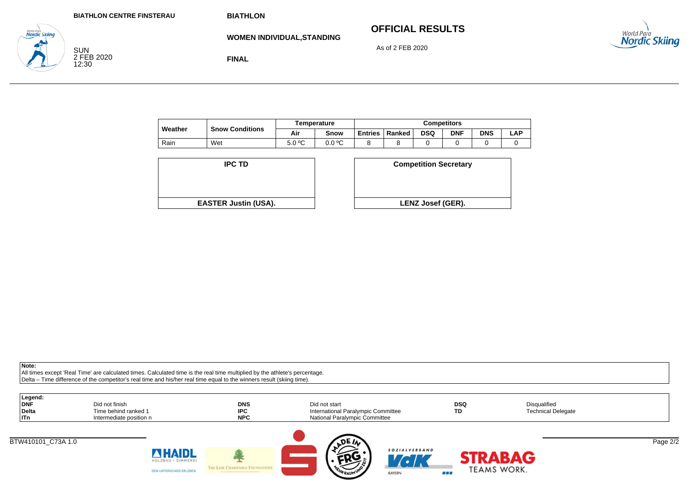**FINAL**

# **OFFICIAL RESULTS**

As of 2 FEB 2020



SUN 2 FEB 2020 12:30

**Nordic Skiina** 

**WOMEN INDIVIDUAL,STANDING**

|         |                        |        | Temperature | <b>Competitors</b> |        |            |            |            |     |  |  |
|---------|------------------------|--------|-------------|--------------------|--------|------------|------------|------------|-----|--|--|
| Weather | <b>Snow Conditions</b> | Air    | Snow        | <b>Entries</b>     | Ranked | <b>DSQ</b> | <b>DNF</b> | <b>DNS</b> | -AF |  |  |
| Rain    | Wet                    | 5.0 °C | 0.0 °C      |                    |        |            |            |            |     |  |  |

| <b>IPC TD</b>               | <b>Competition Secreta</b> |
|-----------------------------|----------------------------|
|                             |                            |
|                             |                            |
|                             |                            |
| <b>EASTER Justin (USA).</b> | <b>LENZ Josef (GER).</b>   |

| D                  | <b>Competition Secretary</b> |
|--------------------|------------------------------|
|                    |                              |
| t <b>in (USA).</b> | <b>LENZ Josef (GER).</b>     |
|                    |                              |

**Note:**

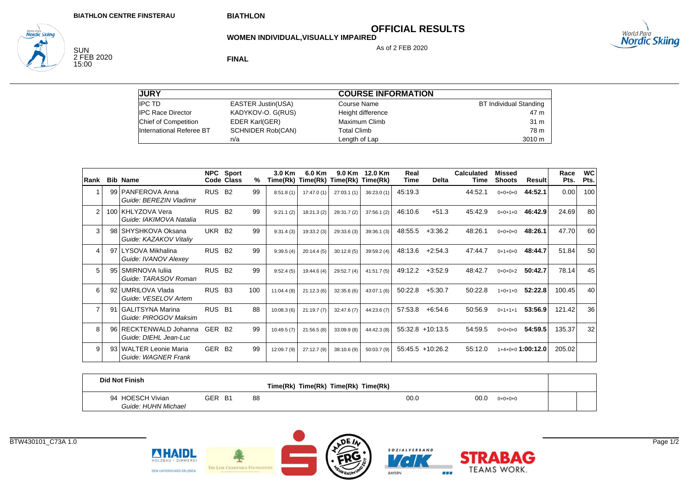# **OFFICIAL RESULTS**

As of 2 FEB 2020

**WOMEN INDIVIDUAL,VISUALLY IMPAIRED**



SUN<br>2 FEB 2020<br>15:00

<sub>wortd Para</sub><br>**Nordic Skiing** 

**FINAL**

| <b>JURY</b>              |                           | <b>COURSE INFORMATION</b> |                        |
|--------------------------|---------------------------|---------------------------|------------------------|
| <b>IPC TD</b>            | <b>EASTER Justin(USA)</b> | Course Name               | BT Individual Standing |
| <b>IPC Race Director</b> | KADYKOV-O. G(RUS)         | Height difference         | 47 m                   |
| Chief of Competition     | EDER Karl(GER)            | Maximum Climb             | 31 m                   |
| International Referee BT | <b>SCHNIDER Rob(CAN)</b>  | <b>Total Climb</b>        | 78 m                   |
|                          | n/a                       | Length of Lap             | 3010 m                 |

| Rank           |    | <b>Bib Name</b>                                  |                    | NPC Sport<br>Code Class | %   | 3.0 Km     | 6.0 Km      | 9.0 Km<br>Time(Rk) Time(Rk) Time(Rk) Time(Rk) | 12.0 Km     | Real<br>Time | Delta              | Calculated<br>Time | Missed<br><b>Shoots</b> | Result            | Race<br>Pts. | <b>WC</b><br>Pts. |
|----------------|----|--------------------------------------------------|--------------------|-------------------------|-----|------------|-------------|-----------------------------------------------|-------------|--------------|--------------------|--------------------|-------------------------|-------------------|--------------|-------------------|
|                |    | 99   PANFEROVA Anna<br>Guide: BEREZIN Vladimir   | RUS B <sub>2</sub> |                         | 99  | 8:51.8(1)  | 17:47.0(1)  | 27:03.1(1)                                    | 36:23.0(1)  | 45:19.3      |                    | 44:52.1            | $0+0+0+0$               | 44:52.1           | 0.00         | 100               |
| 2              |    | 100 KHLYZOVA Vera<br>Guide: IAKIMOVA Natalia     | RUS.               | <b>B2</b>               | 99  | 9:21.1(2)  | 18:21.3 (2) | 28:31.7 (2)                                   | 37:56.1(2)  | 46:10.6      | $+51.3$            | 45:42.9            | $0+0+1+0$               | 46:42.9           | 24.69        | 80                |
| 3              |    | 98 SHYSHKOVA Oksana<br>Guide: KAZAKOV Vitaliy    | <b>UKR</b>         | B <sub>2</sub>          | 99  | 9:31.4(3)  | 19:33.2 (3) | 29:33.6 (3)                                   | 39:36.1(3)  | 48:55.5      | $+3:36.2$          | 48:26.1            | $0+0+0+0$               | 48:26.1           | 47.70        | 60                |
| 4              | 97 | LYSOVA Mikhalina<br>Guide: IVANOV Alexey         | <b>RUS</b>         | <b>B2</b>               | 99  | 9:39.5(4)  | 20:14.4(5)  | 30:12.8(5)                                    | 39:59.2 (4) | 48:13.6      | $+2:54.3$          | 47:44.7            | $0+1+0+0$               | 48:44.7           | 51.84        | 50                |
| 5              | 95 | SMIRNOVA Iulija<br>Guide: TARASOV Roman          | <b>RUS</b>         | <b>B2</b>               | 99  | 9:52.4(5)  | 19:44.6 (4) | 29:52.7 (4)                                   | 41:51.7(5)  | 49:12.2      | $+3.52.9$          | 48:42.7            | $0+0+0+2$               | 50:42.7           | 78.14        | 45                |
| 6              | 92 | UMRILOVA Vlada<br>Guide: VESELOV Artem           | RUS B <sub>3</sub> |                         | 100 | 11:04.4(8) | 21:12.3(6)  | 32:35.6(6)                                    | 43:07.1(6)  | 50:22.8      | $+5:30.7$          | 50:22.8            | $1+0+1+0$               | 52:22.8           | 100.45       | 40                |
| $\overline{7}$ | 91 | <b>GALITSYNA Marina</b><br>Guide: PIROGOV Maksim | RUS B1             |                         | 88  | 10:08.3(6) | 21:19.7(7)  | 32:47.6 (7)                                   | 44:23.6 (7) | 57:53.8      | $+6.54.6$          | 50:56.9            | $0+1+1+1$               | 53:56.9           | 121.42       | 36                |
| 8              |    | 96 RECKTENWALD Johanna<br>Guide: DIEHL Jean-Luc  | GER B <sub>2</sub> |                         | 99  | 10:49.5(7) | 21:56.5(8)  | 33:09.9 (8)                                   | 44:42.3 (8) |              | $55:32.8$ +10:13.5 | 54:59.5            | $0+0+0+0$               | 54:59.5           | 135.37       | 32                |
| 9              |    | 93 WALTER Leonie Maria<br>Guide: WAGNER Frank    | GER B <sub>2</sub> |                         | 99  | 12:09.7(9) | 27:12.7(9)  | 38:10.6 (9)                                   | 50:03.7(9)  |              | $55:45.5$ +10:26.2 | 55:12.0            |                         | 1+4+0+0 1:00:12.0 | 205.02       |                   |

| <b>Did Not Finish</b>                   |        |    | Time(Rk) Time(Rk) Time(Rk) Time(Rk) |      |      |           |  |
|-----------------------------------------|--------|----|-------------------------------------|------|------|-----------|--|
| 94 HOESCH Vivian<br>Guide: HUHN Michael | GER B1 | 88 |                                     | 00.0 | 00.0 | $0+0+0+0$ |  |



**NHAIDL** 

HOLZBAU · ZIMMEREL

DEN UNTERSCHIED ERLEBEN.

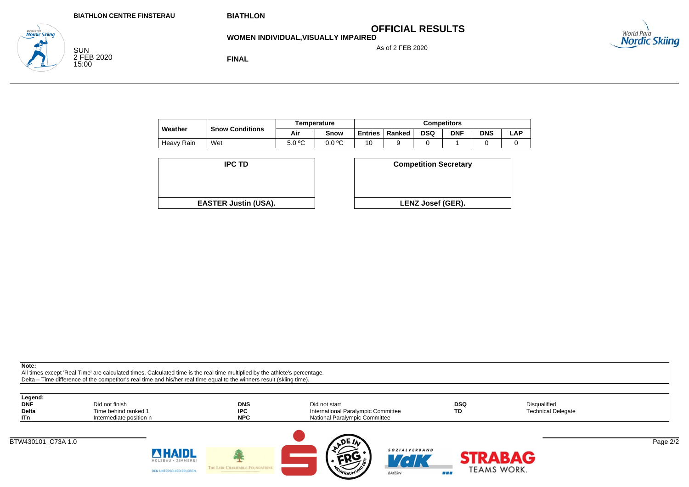**OFFICIAL RESULTS**

**WOMEN INDIVIDUAL,VISUALLY IMPAIRED**

As of 2 FEB 2020



SUN 2 FEB 2020 15:00

<sub>wortd Para</sub><br>**Nordic Skiina** 

**FINAL**

| Weather    |                        | Temperature |        | <b>Competitors</b> |        |            |            |            |     |
|------------|------------------------|-------------|--------|--------------------|--------|------------|------------|------------|-----|
|            | <b>Snow Conditions</b> | Air         | Snow   | <b>Entries</b>     | Ranked | <b>DSQ</b> | <b>DNF</b> | <b>DNS</b> | LAP |
| Heavy Rain | Wet                    | 5.0 °C      | 0.0 °C | 10                 |        |            |            |            |     |

| <b>IPC TD</b>               | <b>Competition Secreta</b> |
|-----------------------------|----------------------------|
|                             |                            |
|                             |                            |
| <b>EASTER Justin (USA).</b> | <b>LENZ Josef (GER).</b>   |

| <b>Competition Secretary</b> |
|------------------------------|
|                              |
| <b>LENZ Josef (GER).</b>     |
|                              |

**Note:**

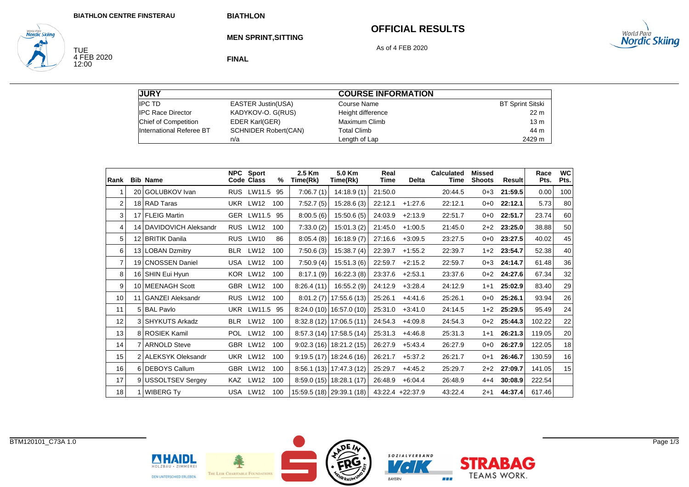#### **OFFICIAL RESULTS**

As of 4 FEB 2020



**MEN SPRINT,SITTING**

TUE<br>4 FEB 2020<br>12:00

**World Para**<br>**Nordic Skiing** 

**FINAL**

| <b>JURY</b>              |                             | <b>COURSE INFORMATION</b> |                         |
|--------------------------|-----------------------------|---------------------------|-------------------------|
| <b>IPC TD</b>            | <b>EASTER Justin(USA)</b>   | Course Name               | <b>BT Sprint Sitski</b> |
| <b>IPC Race Director</b> | KADYKOV-O. G(RUS)           | Height difference         | 22 <sub>m</sub>         |
| Chief of Competition     | <b>EDER Karl(GER)</b>       | Maximum Climb             | 13 <sub>m</sub>         |
| International Referee BT | <b>SCHNIDER Robert(CAN)</b> | Total Climb               | 44 m                    |
|                          | n/a                         | Length of Lap             | 2429 m                  |

| Rank           |    | <b>Bib Name</b>         | <b>NPC</b> | Sport<br>Code Class | %   | 2.5 Km<br>Time(Rk) | 5.0 Km<br>Time(Rk)        | Real<br><b>Time</b> | <b>Delta</b>     | Calculated<br>Time | <b>Missed</b><br><b>Shoots</b> | Result  | Race<br>Pts. | <b>WC</b><br>Pts. |
|----------------|----|-------------------------|------------|---------------------|-----|--------------------|---------------------------|---------------------|------------------|--------------------|--------------------------------|---------|--------------|-------------------|
| 1              |    | 20 GOLUBKOV Ivan        | <b>RUS</b> | LW11.5 95           |     | 7:06.7(1)          | 14:18.9(1)                | 21:50.0             |                  | 20:44.5            | $0 + 3$                        | 21:59.5 | 0.00         | 100               |
| $\overline{2}$ |    | 18 RAD Taras            |            | UKR LW12            | 100 | 7:52.7(5)          | 15:28.6(3)                | 22:12.1             | $+1:27.6$        | 22:12.1            | $0 + 0$                        | 22:12.1 | 5.73         | 80                |
| 3              |    | 17 FLEIG Martin         |            | GER LW11.5 95       |     | 8:00.5(6)          | 15:50.6(5)                | 24:03.9             | $+2:13.9$        | 22:51.7            | $0+0$                          | 22:51.7 | 23.74        | 60                |
| 4              |    | 14 DAVIDOVICH Aleksandr |            | RUS LW12            | 100 | 7:33.0(2)          | 15:01.3(2)                | 21:45.0             | $+1:00.5$        | 21:45.0            | $2+2$                          | 23:25.0 | 38.88        | 50                |
| 5              |    | 12 BRITIK Danila        |            | RUS LW10            | 86  | 8:05.4(8)          | 16:18.9(7)                | 27:16.6             | $+3:09.5$        | 23:27.5            | 0+0                            | 23:27.5 | 40.02        | 45                |
| 6              |    | 13 LOBAN Dzmitry        | BLR        | LW12                | 100 | 7:50.6(3)          | 15:38.7(4)                | 22:39.7             | $+1:55.2$        | 22:39.7            | $1 + 2$                        | 23:54.7 | 52.38        | 40                |
| $\overline{7}$ |    | 19 CNOSSEN Daniel       |            | USA LW12            | 100 | 7:50.9(4)          | 15:51.3(6)                | 22:59.7             | $+2:15.2$        | 22:59.7            | $0 + 3$                        | 24:14.7 | 61.48        | 36                |
| 8              |    | 16 SHIN Eui Hyun        |            | KOR LW12            | 100 | 8:17.1(9)          | 16:22.3(8)                | 23:37.6             | $+2:53.1$        | 23:37.6            | $0 + 2$                        | 24:27.6 | 67.34        | 32                |
| 9              |    | 10 MEENAGH Scott        |            | GBR LW12            | 100 | 8:26.4(11)         | 16:55.2(9)                | 24:12.9             | $+3:28.4$        | 24:12.9            | $1 + 1$                        | 25:02.9 | 83.40        | 29                |
| 10             | 11 | <b>GANZEI Aleksandr</b> |            | RUS LW12            | 100 | 8:01.2(7)          | 17:55.6 (13)              | 25:26.1             | $+4:41.6$        | 25:26.1            | $0+0$                          | 25:26.1 | 93.94        | 26                |
| 11             |    | 5 BAL Pavlo             |            | <b>UKR LW11.5</b>   | 95  |                    | $8:24.0(10)$ 16:57.0 (10) | 25:31.0             | $+3:41.0$        | 24:14.5            | $1+2$                          | 25:29.5 | 95.49        | 24                |
| 12             |    | 3 SHYKUTS Arkadz        | <b>BLR</b> | LW12                | 100 |                    | $8:32.8(12)$ 17:06.5(11)  | 24:54.3             | $+4:09.8$        | 24:54.3            | $0+2$                          | 25:44.3 | 102.22       | 22                |
| 13             |    | 8 ROSIEK Kamil          | <b>POL</b> | <b>LW12</b>         | 100 |                    | $8:57.3(14)$ 17:58.5(14)  | 25:31.3             | $+4:46.8$        | 25:31.3            | $1 + 1$                        | 26:21.3 | 119.05       | 20                |
| 14             |    | 7 ARNOLD Steve          |            | GBR LW12            | 100 |                    | $9:02.3(16)$ 18:21.2(15)  | 26:27.9             | $+5:43.4$        | 26:27.9            | $0 + 0$                        | 26:27.9 | 122.05       | 18                |
| 15             |    | 2 ALEKSYK Oleksandr     |            | UKR LW12            | 100 |                    | $9:19.5(17)$ 18:24.6(16)  | 26:21.7             | $+5:37.2$        | 26:21.7            | $0 + 1$                        | 26:46.7 | 130.59       | 16                |
| 16             |    | 6 DEBOYS Callum         |            | GBR LW12            | 100 |                    | $8:56.1(13)$ 17:47.3 (12) | 25:29.7             | $+4:45.2$        | 25:29.7            | $2+2$                          | 27:09.7 | 141.05       | 15                |
| 17             |    | 9 USSOLTSEV Sergey      | KAZ        | <b>LW12</b>         | 100 |                    | $8:59.0(15)$ 18:28.1 (17) | 26:48.9             | $+6:04.4$        | 26:48.9            | 4+4                            | 30:08.9 | 222.54       |                   |
| 18             |    | <b>WIBERG Ty</b>        |            | USA LW12            | 100 |                    | 15:59.5 (18) 29:39.1 (18) |                     | 43:22.4 +22:37.9 | 43:22.4            | $2 + 1$                        | 44:37.4 | 617.46       |                   |



HOLZBAU · ZIMMEREI

DEN UNTERSCHIED ERLEBEN.

ш THE LEIR CHARITABLE FOUND



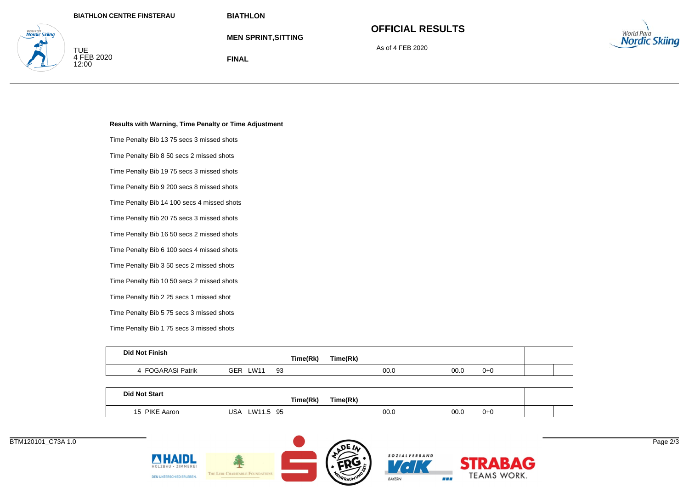TUE<br>4 FEB 2020<br>12:00

www.rwa<br>Nordic Skiina

**BIATHLON**

**FINAL**

**MEN SPRINT,SITTING**

# **OFFICIAL RESULTS**

As of 4 FEB 2020



**Results with Warning, Time Penalty or Time Adjustment**

Time Penalty Bib 13 75 secs 3 missed shots

Time Penalty Bib 8 50 secs 2 missed shots

Time Penalty Bib 19 75 secs 3 missed shots

Time Penalty Bib 9 200 secs 8 missed shots

Time Penalty Bib 14 100 secs 4 missed shots

Time Penalty Bib 20 75 secs 3 missed shots

Time Penalty Bib 16 50 secs 2 missed shots

Time Penalty Bib 6 100 secs 4 missed shots

Time Penalty Bib 3 50 secs 2 missed shots

Time Penalty Bib 10 50 secs 2 missed shots

Time Penalty Bib 2 25 secs 1 missed shot

Time Penalty Bib 5 75 secs 3 missed shots

Time Penalty Bib 1 75 secs 3 missed shots

AHAIDI

DEN UNTERSCHIED ERLEBEN

THE LEIR CHARITABLE FOUR

| <b>Did Not Finish</b> |             | Time(Rk) | Time(Rk) |      |         |  |
|-----------------------|-------------|----------|----------|------|---------|--|
| FOGARASI Patrik       | GER<br>_W11 | 93       | 00.0     | 00.0 | $0 + 0$ |  |
|                       |             |          |          |      |         |  |

| <b>Did Not Start</b> | Time(Rk)           | Time(Rk) |      |         |  |
|----------------------|--------------------|----------|------|---------|--|
| 15 PIKE Aaron        | W11.5<br>95<br>USA | 00.0     | 00.0 | $0 + 0$ |  |



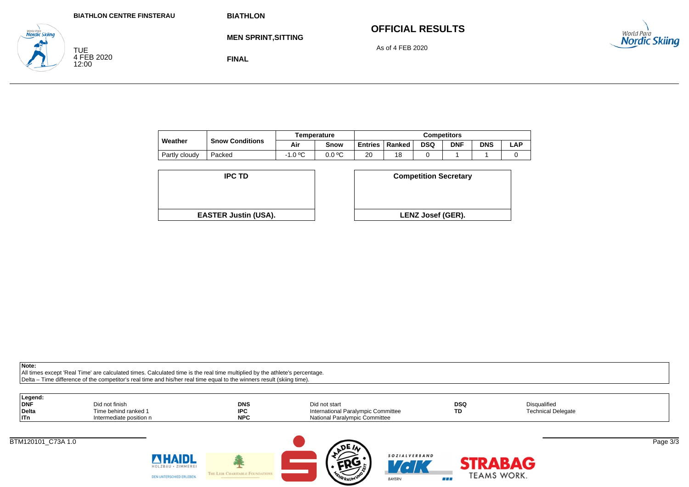|                                           | <b>BIATHLON CENTRE FINSTERAU</b> | <b>BIATHLON</b>            |                         |                      |
|-------------------------------------------|----------------------------------|----------------------------|-------------------------|----------------------|
| <b>World Para</b><br><b>Nordic Skiing</b> |                                  | <b>MEN SPRINT, SITTING</b> | <b>OFFICIAL RESULTS</b> | World Para           |
|                                           | TUE                              |                            | As of 4 FEB 2020        | <b>Nordic Skiing</b> |
|                                           | 4 FEB 2020<br>12:00              | <b>FINAL</b>               |                         |                      |

|               |                        |           | Temperature | <b>Competitors</b> |        |            |            |            |     |
|---------------|------------------------|-----------|-------------|--------------------|--------|------------|------------|------------|-----|
| Weather       | <b>Snow Conditions</b> | Air       | Snow        | <b>Entries</b>     | Ranked | <b>DSQ</b> | <b>DNF</b> | <b>DNS</b> | ∟AP |
| Partly cloudy | Packed                 | $-1.0 °C$ | 0.0 °C      | 20                 | 18     |            |            |            |     |

| <b>IPC TD</b>               | <b>Competition Secreta</b> |
|-----------------------------|----------------------------|
| <b>EASTER Justin (USA).</b> | <b>LENZ Josef (GER).</b>   |

| D                  | <b>Competition Secretary</b> |
|--------------------|------------------------------|
| t <b>in (USA).</b> | <b>LENZ Josef (GER).</b>     |

| Legend:<br><b>DNF</b><br><b>Delta</b><br>  ITn | Did not finish<br>Time behind ranked 1<br>Intermediate position n | <b>DNS</b><br><b>IPC</b><br><b>NPC</b> | Did not start<br>International Paralympic Committee<br><b>National Paralympic Committee</b> | <b>DSQ</b><br>TD | Disqualified<br><b>Technical Delegate</b> |          |
|------------------------------------------------|-------------------------------------------------------------------|----------------------------------------|---------------------------------------------------------------------------------------------|------------------|-------------------------------------------|----------|
|                                                | <b>ZHAIDL</b><br>HOLZBAU · ZIMMEREI<br>DEN UNTERSCHIED ERLEBEN.   | THE LEIR CHARITABLE FOUNDATIONS        | <b>DEW</b><br>SOZIALVERBAND<br>'CK<br><b>TEHRRAUM UNIO</b><br><b>BAYERN</b>                 | 86 E E           | RABAG<br>TEAMS WORK.                      | Page 3/3 |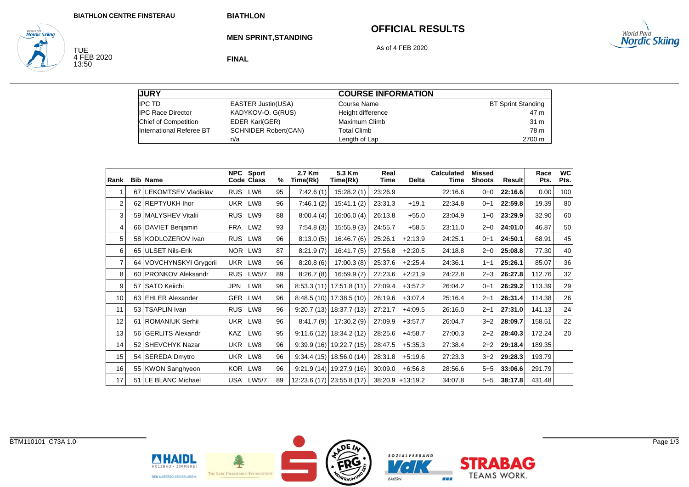## **OFFICIAL RESULTS**

**STRABAG** 

TEAMS WORK.

86 B



TUE<br>4 FEB 2020<br>13:50

**World Para**<br>**Nordic Skiing** 

**MEN SPRINT,STANDING**

As of 4 FEB 2020

**FINAL**

| <b>JURY</b>              |                             | <b>COURSE INFORMATION</b> |                           |
|--------------------------|-----------------------------|---------------------------|---------------------------|
| <b>IPC TD</b>            | <b>EASTER Justin(USA)</b>   | Course Name               | <b>BT Sprint Standing</b> |
| <b>IPC Race Director</b> | KADYKOV-O. G(RUS)           | Height difference         | 47 m                      |
| Chief of Competition     | <b>EDER Karl(GER)</b>       | Maximum Climb             | 31 m                      |
| International Referee BT | <b>SCHNIDER Robert(CAN)</b> | <b>Total Climb</b>        | 78 m                      |
|                          | n/a                         | Length of Lap             | 2700 m                    |

| Rank |                 | <b>Bib Name</b>             | <b>NPC</b> | Sport<br>Code Class | %  | 2.7 Km<br>Time(Rk) | 5.3 Km<br>Time(Rk)          | Real<br>Time | <b>Delta</b>       | <b>Calculated</b><br>Time | Missed<br><b>Shoots</b> | Result  | Race<br>Pts. | <b>WC</b><br>Pts. |
|------|-----------------|-----------------------------|------------|---------------------|----|--------------------|-----------------------------|--------------|--------------------|---------------------------|-------------------------|---------|--------------|-------------------|
|      | 67              | <b>LEKOMTSEV Vladislav</b>  | <b>RUS</b> | LW6                 | 95 | 7:42.6(1)          | 15:28.2(1)                  | 23:26.9      |                    | 22:16.6                   | $0 + 0$                 | 22:16.6 | 0.00         | 100               |
| 2    | 62              | <b>REPTYUKH Ihor</b>        | <b>UKR</b> | LW8                 | 96 | 7:46.1(2)          | 15:41.1(2)                  | 23:31.3      | $+19.1$            | 22:34.8                   | $0+1$                   | 22:59.8 | 19.39        | 80                |
| 3    | 59              | <b>MALYSHEV Vitalii</b>     | <b>RUS</b> | LW9                 | 88 | 8:00.4(4)          | 16:06.0(4)                  | 26:13.8      | $+55.0$            | 23:04.9                   | $1 + 0$                 | 23:29.9 | 32.90        | 60                |
| 4    | 66              | DAVIET Benjamin             | <b>FRA</b> | LW <sub>2</sub>     | 93 | 7:54.8(3)          | 15:55.9(3)                  | 24:55.7      | $+58.5$            | 23:11.0                   | $2+0$                   | 24:01.0 | 46.87        | 50                |
| 5    | 58              | KODLOZEROV Ivan             | <b>RUS</b> | LW8                 | 96 | 8:13.0(5)          | 16:46.7(6)                  | 25:26.1      | $+2:13.9$          | 24:25.1                   | $0+1$                   | 24:50.1 | 68.91        | 45                |
| 6    | 65              | <b>ULSET Nils-Erik</b>      | <b>NOR</b> | LW3                 | 87 | 8:21.9(7)          | 16:41.7(5)                  | 27:56.8      | $+2:20.5$          | 24:18.8                   | 2+0                     | 25:08.8 | 77.30        | 40                |
| 7    | 64              | <b>VOVCHYNSKYI Grygorii</b> | <b>UKR</b> | LW8                 | 96 | 8:20.8(6)          | 17:00.3(8)                  | 25:37.6      | $+2:25.4$          | 24:36.1                   | $1 + 1$                 | 25:26.1 | 85.07        | 36                |
| 8    |                 | 60 PRONKOV Aleksandr        | <b>RUS</b> | LW5/7               | 89 | 8:26.7(8)          | 16:59.9(7)                  | 27:23.6      | $+2:21.9$          | 24:22.8                   | $2 + 3$                 | 26:27.8 | 112.76       | 32                |
| 9    | 57              | <b>SATO Keiichi</b>         | JPN        | LW8                 | 96 |                    | $8:53.3(11)$   17:51.8(11)  | 27:09.4      | $+3:57.2$          | 26:04.2                   | $0+1$                   | 26:29.2 | 113.39       | 29                |
| 10   |                 | 63 EHLER Alexander          | GER        | LW4                 | 96 |                    | $8:48.5(10)$   17:38.5 (10) | 26:19.6      | $+3:07.4$          | 25:16.4                   | $2 + 1$                 | 26:31.4 | 114.38       | 26                |
| 11   | 53 <sub>1</sub> | <b>TSAPLIN Ivan</b>         | <b>RUS</b> | LW8                 | 96 |                    | $9:20.7(13)$ 18:37.7(13)    | 27:21.7      | $+4.09.5$          | 26:16.0                   | $2 + 1$                 | 27:31.0 | 141.13       | 24                |
| 12   | 61              | ROMANIUK Serhii             | <b>UKR</b> | LW8                 | 96 | 8:41.7(9)          | 17:30.2 (9)                 | 27:09.9      | $+3:57.7$          | 26:04.7                   | $3+2$                   | 28:09.7 | 158.51       | 22                |
| 13   |                 | 56 GERLITS Alexandr         | <b>KAZ</b> | LW6                 | 95 | 9:11.6(12)         | 18:34.2(12)                 | 28:25.6      | $+4:58.7$          | 27:00.3                   | $2+2$                   | 28:40.3 | 172.24       | 20                |
| 14   |                 | 52 SHEVCHYK Nazar           | <b>UKR</b> | LW8                 | 96 |                    | $9:39.9(16)$ 19:22.7 (15)   | 28:47.5      | $+5:35.3$          | 27:38.4                   | $2+2$                   | 29:18.4 | 189.35       |                   |
| 15   |                 | 54 SEREDA Dmytro            | <b>UKR</b> | LW8                 | 96 | 9:34.4(15)         | 18.56.0(14)                 | 28:31.8      | $+5:19.6$          | 27:23.3                   | $3+2$                   | 29:28.3 | 193.79       |                   |
| 16   |                 | 55 KWON Sanghyeon           |            | KOR LW8             | 96 |                    | $9:21.9(14)$ 19:27.9 (16)   | 30:09.0      | $+6.56.8$          | 28:56.6                   | $5 + 5$                 | 33:06.6 | 291.79       |                   |
| 17   | 51              | LE BLANC Michael            |            | USA LW5/7           | 89 |                    | 12:23.6 (17) 23:55.8 (17)   |              | $38:20.9 +13:19.2$ | 34:07.8                   | $5 + 5$                 | 38:17.8 | 431.48       |                   |

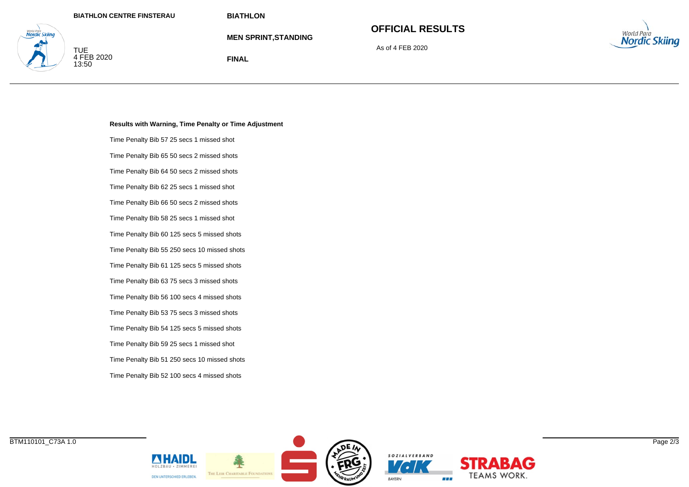**MEN SPRINT,STANDING**

# **OFFICIAL RESULTS**

As of 4 FEB 2020



TUE 4 FEB 2020 13:50

vordic Skiina

**FINAL**

#### **Results with Warning, Time Penalty or Time Adjustment**

Time Penalty Bib 57 25 secs 1 missed shot Time Penalty Bib 65 50 secs 2 missed shots

Time Penalty Bib 64 50 secs 2 missed shots

Time Penalty Bib 62 25 secs 1 missed shot

Time Penalty Bib 66 50 secs 2 missed shots

Time Penalty Bib 58 25 secs 1 missed shot

Time Penalty Bib 60 125 secs 5 missed shots

Time Penalty Bib 55 250 secs 10 missed shots

Time Penalty Bib 61 125 secs 5 missed shots

Time Penalty Bib 63 75 secs 3 missed shots

Time Penalty Bib 56 100 secs 4 missed shots

Time Penalty Bib 53 75 secs 3 missed shots

Time Penalty Bib 54 125 secs 5 missed shots Time Penalty Bib 59 25 secs 1 missed shot Time Penalty Bib 51 250 secs 10 missed shots

Time Penalty Bib 52 100 secs 4 missed shots





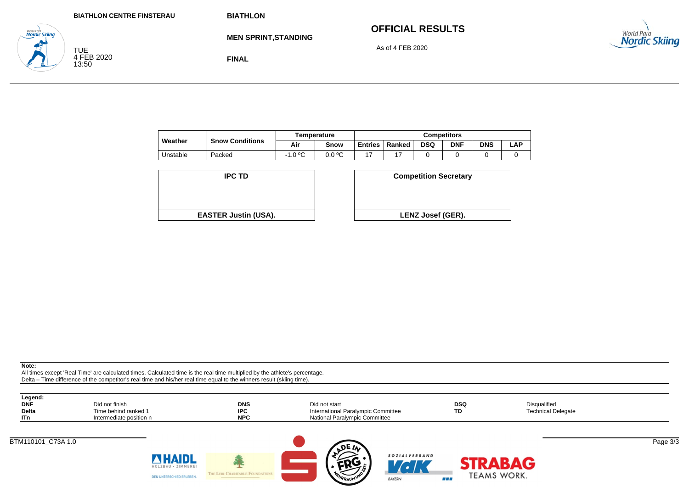|                                    | <b>BIATHLON CENTRE FINSTERAU</b>  | <b>BIATHLON</b>             |                         |
|------------------------------------|-----------------------------------|-----------------------------|-------------------------|
| World Para<br><b>Nordic Skiing</b> |                                   | <b>MEN SPRINT, STANDING</b> | <b>OFFICIAL RESULTS</b> |
|                                    | <b>TUE</b><br>4 FEB 2020<br>13:50 | <b>FINAL</b>                | As of 4 FEB 2020        |

|          |                        |           | Temperature | Competitors    |        |            |            |            |     |  |  |
|----------|------------------------|-----------|-------------|----------------|--------|------------|------------|------------|-----|--|--|
| Weather  | <b>Snow Conditions</b> | Air       | Snow        | <b>Entries</b> | Ranked | <b>DSQ</b> | <b>DNF</b> | <b>DNS</b> | ∟AP |  |  |
| Unstable | Packed                 | $-1.0 °C$ | 0.0 °C      |                |        |            |            |            |     |  |  |

| <b>IPC TD</b>               | <b>Competition Secreta</b> |
|-----------------------------|----------------------------|
| <b>EASTER Justin (USA).</b> | <b>LENZ Josef (GER).</b>   |

| D                  | <b>Competition Secretary</b> |
|--------------------|------------------------------|
| t <b>in (USA).</b> | <b>LENZ Josef (GER).</b>     |

<sub>World Para</sub><br>**Nordic Skiing** 

**Note:**

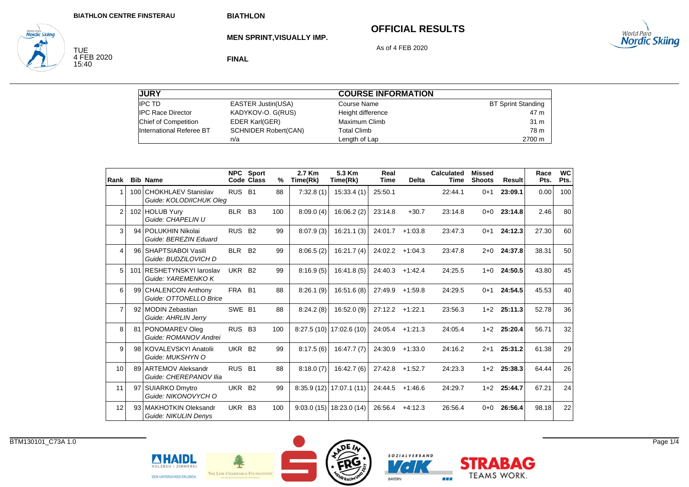**MEN SPRINT,VISUALLY IMP.**

# **OFFICIAL RESULTS**



TUE<br>4 FEB 2020<br>15:40

**World Para**<br>**Nordic Skiing** 

**FINAL**

As of 4 FEB 2020

| <b>JURY</b>              |                             | <b>COURSE INFORMATION</b> |                           |
|--------------------------|-----------------------------|---------------------------|---------------------------|
| <b>IPC TD</b>            | <b>EASTER Justin(USA)</b>   | Course Name               | <b>BT Sprint Standing</b> |
| <b>IPC Race Director</b> | KADYKOV-O. G(RUS)           | Height difference         | 47 m                      |
| Chief of Competition     | EDER Karl(GER)              | Maximum Climb             | 31 m                      |
| International Referee BT | <b>SCHNIDER Robert(CAN)</b> | <b>Total Climb</b>        | 78 m                      |
|                          | n/a                         | Length of Lap             | 2700 m                    |

| Rank           | <b>Bib Name</b>                                    |                    | <b>NPC</b> Sport<br>Code Class | %   | 2.7 Km<br>Time(Rk) | 5.3 Km<br>Time(Rk)          | Real<br><b>Time</b> | <b>Delta</b> | <b>Calculated</b><br><b>Time</b> | <b>Missed</b><br><b>Shoots</b> | Result        | Race<br>Pts. | <b>WC</b><br>Pts. |
|----------------|----------------------------------------------------|--------------------|--------------------------------|-----|--------------------|-----------------------------|---------------------|--------------|----------------------------------|--------------------------------|---------------|--------------|-------------------|
|                | 100 CHOKHLAEV Stanislav<br>Guide: KOLODIICHUK Olea | RUS B1             |                                | 88  | 7:32.8(1)          | 15:33.4(1)                  | 25:50.1             |              | 22:44.1                          | $0+1$                          | 23:09.1       | 0.00         | 100               |
| $\overline{2}$ | 102 HOLUB Yurv<br>Guide: CHAPELIN U                | <b>BLR</b>         | B <sub>3</sub>                 | 100 | 8:09.0(4)          | 16:06.2(2)                  | 23:14.8             | $+30.7$      | 23:14.8                          | $0+0$                          | 23:14.8       | 2.46         | 80                |
| 3              | 94 POLUKHIN Nikolai<br>Guide: BEREZIN Eduard       | RUS B <sub>2</sub> |                                | 99  | 8:07.9(3)          | 16:21.1(3)                  | 24:01.7             | $+1:03.8$    | 23:47.3                          | $0+1$                          | 24:12.3       | 27.30        | 60                |
| 4              | 96 SHAPTSIABOI Vasili<br>Guide: BUDZILOVICH D      | <b>BLR</b>         | <b>B2</b>                      | 99  | 8:06.5(2)          | 16:21.7(4)                  | 24:02.2             | $+1:04.3$    | 23:47.8                          | $2+0$                          | 24:37.8       | 38.31        | 50                |
| 5              | 101 RESHETYNSKYI Jaroslav<br>Guide: YAREMENKO K    | <b>UKR</b>         | <b>B2</b>                      | 99  | 8:16.9(5)          | 16:41.8(5)                  | 24:40.3             | $+1:42.4$    | 24:25.5                          | $1 + 0$                        | 24:50.5       | 43.80        | 45                |
| 6              | 99 CHALENCON Anthony<br>Guide: OTTONELLO Brice     | FRA B1             |                                | 88  | 8:26.1(9)          | 16:51.6(8)                  | 27:49.9             | $+1:59.8$    | 24:29.5                          | $0 + 1$                        | 24:54.5       | 45.53        | 40                |
| $\overline{7}$ | 92 MODIN Zebastian<br>Guide: AHRLIN Jerry          | SWE B1             |                                | 88  | 8:24.2(8)          | 16:52.0(9)                  | $27:12.2$ +1:22.1   |              | 23:56.3                          | $1+2$                          | 25:11.3       | 52.78        | 36                |
| 8              | 81 PONOMAREV Oleg<br>Guide: ROMANOV Andrei         | RUS B3             |                                | 100 |                    | $8:27.5(10)$ 17:02.6(10)    | 24:05.4             | $+1:21.3$    | 24:05.4                          | $1+2$                          | 25:20.4       | 56.71        | 32                |
| 9              | 98 KOVALEVSKYI Anatolii<br>Guide: MUKSHYN O        | UKR B <sub>2</sub> |                                | 99  | 8:17.5(6)          | 16:47.7(7)                  | 24:30.9             | $+1:33.0$    | 24:16.2                          | $2 + 1$                        | 25:31.2       | 61.38        | 29                |
| 10             | 89 ARTEMOV Aleksandr<br>Guide: CHEREPANOV Ilia     | RUS B1             |                                | 88  | 8:18.0(7)          | 16:42.7(6)                  | 27:42.8             | $+1:52.7$    | 24:23.3                          |                                | $1+2$ 25:38.3 | 64.44        | 26                |
| 11             | 97 SUIARKO Dmytro<br>Guide: NIKONOVYCH O           | <b>UKR</b>         | <b>B2</b>                      | 99  |                    | $8:35.9(12)$   17:07.1 (11) | 24:44.5             | $+1.46.6$    | 24:29.7                          | $1 + 2$                        | 25:44.7       | 67.21        | 24                |
| 12             | 93 MAKHOTKIN Oleksandr<br>Guide: NIKULIN Denys     | UKR                | <b>B3</b>                      | 100 | 9:03.0(15)         | 18:23.0 (14)                | 26:56.4             | $+4:12.3$    | 26:56.4                          | $0 + 0$                        | 26:56.4       | 98.18        | 22                |



HOLZBAU · ZIMMEREI

DEN UNTERSCHIED ERLEBEN.



 $\mathcal{L}$ 

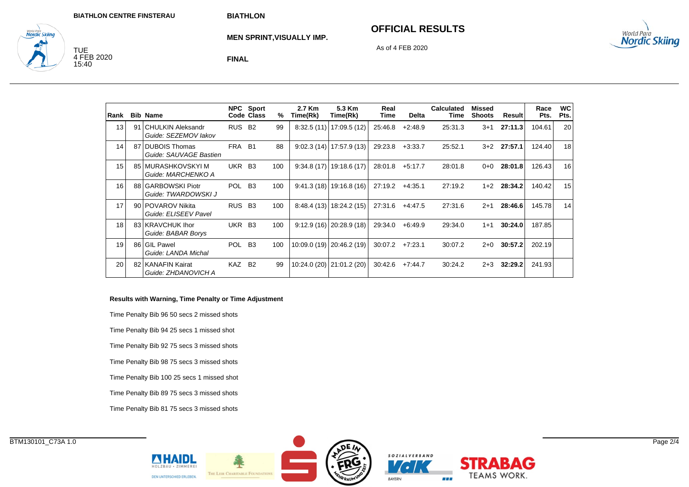#### **OFFICIAL RESULTS**

As of 4 FEB 2020



TUE<br>4 FEB 2020<br>15:40

<sub>wortd Para</sub><br>**Nordic Skiina** 

**MEN SPRINT,VISUALLY IMP.**

**FINAL**

| Rank            | <b>Bib Name</b>                              |            | NPC Sport<br>Code Class | %   | 2.7 Km<br>Time(Rk) | 5.3 Km<br>Time(Rk)        | Real<br>Time | <b>Delta</b> | <b>Calculated</b><br>Time | <b>Missed</b><br><b>Shoots</b> | Result  | Race<br>Pts. | WC<br>Pts. |
|-----------------|----------------------------------------------|------------|-------------------------|-----|--------------------|---------------------------|--------------|--------------|---------------------------|--------------------------------|---------|--------------|------------|
| 13              | 91 CHULKIN Aleksandr<br>Guide: SEZEMOV lakov | <b>RUS</b> | <b>B2</b>               | 99  |                    | $8:32.5(11)$ 17:09.5 (12) | 25:46.8      | $+2:48.9$    | 25:31.3                   | $3 + 1$                        | 27:11.3 | 104.61       | 20         |
| 14              | 87 DUBOIS Thomas<br>Guide: SAUVAGE Bastien   | FRA        | <b>B1</b>               | 88  |                    | $9:02.3(14)$ 17:57.9 (13) | 29:23.8      | $+3.33.7$    | 25:52.1                   | $3+2$                          | 27:57.1 | 124.40       | 18         |
| 15 <sup>1</sup> | 85 I MURASHKOVSKYI M<br>Guide: MARCHENKO A   | UKR        | <b>B3</b>               | 100 |                    | $9:34.8(17)$ 19:18.6 (17) | 28:01.8      | $+5.17.7$    | 28:01.8                   | $0+0$                          | 28:01.8 | 126.43       | 16         |
| 16              | 88 GARBOWSKI Piotr<br>Guide: TWARDOWSKI J    | <b>POL</b> | <b>B3</b>               | 100 |                    | $9:41.3(18)$ 19:16.8 (16) | 27:19.2      | $+4:35.1$    | 27:19.2                   | $1+2$                          | 28:34.2 | 140.42       | 15         |
| 17              | 90 POVAROV Nikita<br>Guide: ELISEEV Pavel    | RUS B3     |                         | 100 |                    | $8:48.4(13)$ 18:24.2 (15) | 27:31.6      | $+4:47.5$    | 27:31.6                   | $2+1$                          | 28:46.6 | 145.78       | 14         |
| 18              | 83 KRAVCHUK Ihor<br>Guide: BABAR Borys       | UKR B3     |                         | 100 |                    | $9:12.9(16)$ 20:28.9 (18) | 29:34.0      | $+6.49.9$    | 29:34.0                   | $1 + 1$                        | 30:24.0 | 187.85       |            |
| 19              | 86 GIL Pawel<br>Guide: LANDA Michal          | <b>POL</b> | B <sub>3</sub>          | 100 |                    | 10:09.0 (19) 20:46.2 (19) | 30:07.2      | $+7:23.1$    | 30:07.2                   | $2+0$                          | 30:57.2 | 202.19       |            |
| 20              | 82 KANAFIN Kairat<br>Guide: ZHDANOVICH A     | KAZ.       | <b>B2</b>               | 99  |                    | 10:24.0 (20) 21:01.2 (20) | 30:42.6      | $+7:44.7$    | 30:24.2                   | $2 + 3$                        | 32:29.2 | 241.93       |            |

#### **Results with Warning, Time Penalty or Time Adjustment**

Time Penalty Bib 96 50 secs 2 missed shots

Time Penalty Bib 94 25 secs 1 missed shot

Time Penalty Bib 92 75 secs 3 missed shots

Time Penalty Bib 98 75 secs 3 missed shots

Time Penalty Bib 100 25 secs 1 missed shot

Time Penalty Bib 89 75 secs 3 missed shots

Time Penalty Bib 81 75 secs 3 missed shots

**NHAIDL** 

DEN UNTERSCHIED ERLEBEN.

THE LEIR CHARITABLE FOUN



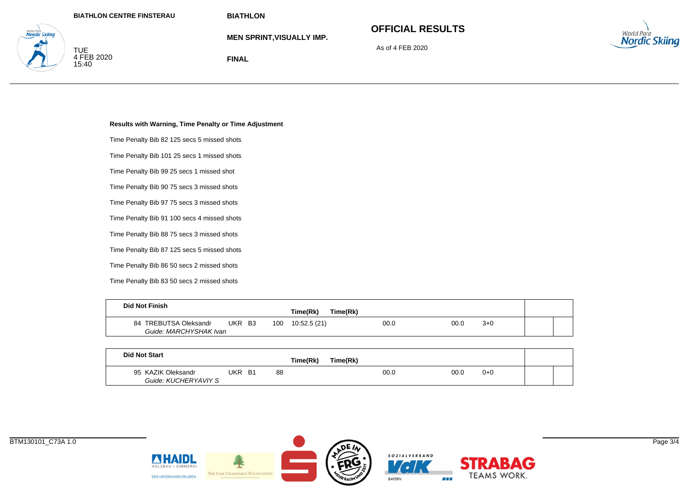**MEN SPRINT,VISUALLY IMP.**

# **OFFICIAL RESULTS**

As of 4 FEB 2020



TUE<br>4 FEB 2020<br>15:40

www.rwa<br>Nordic Skiina

**FINAL**

#### **Results with Warning, Time Penalty or Time Adjustment**

Time Penalty Bib 82 125 secs 5 missed shots

Time Penalty Bib 101 25 secs 1 missed shots

Time Penalty Bib 99 25 secs 1 missed shot

Time Penalty Bib 90 75 secs 3 missed shots

Time Penalty Bib 97 75 secs 3 missed shots

Time Penalty Bib 91 100 secs 4 missed shots

Time Penalty Bib 88 75 secs 3 missed shots

Time Penalty Bib 87 125 secs 5 missed shots

Time Penalty Bib 86 50 secs 2 missed shots

Time Penalty Bib 83 50 secs 2 missed shots

| <b>Did Not Finish</b>  |     |           |     |              |          |      |       |  |  |  |
|------------------------|-----|-----------|-----|--------------|----------|------|-------|--|--|--|
|                        |     |           |     | Time(Rk)     | Time(Rk) |      |       |  |  |  |
| 84 TREBUTSA Oleksandr  | UKR | <b>B3</b> | 100 | 10:52.5 (21) | 00.0     | 00.0 | $3+0$ |  |  |  |
| Guide: MARCHYSHAK Ivan |     |           |     |              |          |      |       |  |  |  |

| <b>Did Not Start</b>                       |     |           |    |          |          |      |         |  |
|--------------------------------------------|-----|-----------|----|----------|----------|------|---------|--|
|                                            |     |           |    | Time(Rk) | Time(Rk) |      |         |  |
| 95 KAZIK Oleksandr<br>Guide: KUCHERYAVIY S | UKR | <b>B1</b> | 88 |          | 00.0     | 00.0 | $0 + 0$ |  |

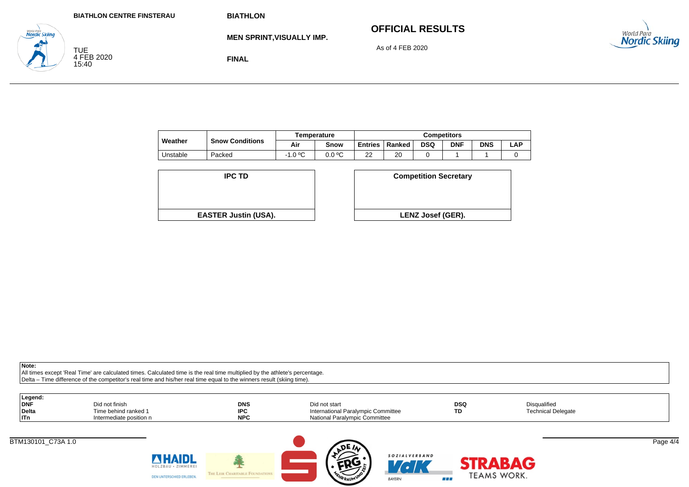# **OFFICIAL RESULTS**



**Nordic Skiina** TUE<br>4 FEB 2020<br>15:40

**MEN SPRINT,VISUALLY IMP.**

As of 4 FEB 2020

**FINAL**

|          |                        |                | <b>Temperature</b> | Competitors     |        |            |            |            |     |  |
|----------|------------------------|----------------|--------------------|-----------------|--------|------------|------------|------------|-----|--|
| Weather  | <b>Snow Conditions</b> | Air            | Snow               | <b>Entries</b>  | Ranked | <b>DSQ</b> | <b>DNF</b> | <b>DNS</b> | -AP |  |
| Unstable | Packed                 | -1.0 ºC<br>- 1 | 0.0 °C             | nn<br><u>__</u> | 20     |            |            |            |     |  |

| <b>IPC TD</b>               | <b>Competition Secreta</b> |
|-----------------------------|----------------------------|
|                             |                            |
| <b>EASTER Justin (USA).</b> | <b>LENZ Josef (GER).</b>   |

| D                  | <b>Competition Secretary</b> |
|--------------------|------------------------------|
|                    |                              |
| t <b>in (USA).</b> | LENZ Josef (GER).            |

**Note:**

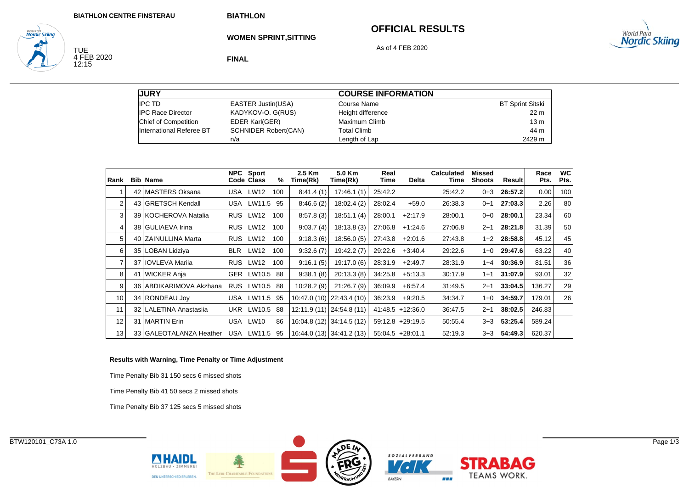TUE<br>4 FEB 2020<br>12:15

World Para<br>**Nordic Skiing** 

**BIATHLON**

**WOMEN SPRINT,SITTING**

## **OFFICIAL RESULTS**

As of 4 FEB 2020



**FINAL**

| <b>JURY</b>              |                             | <b>COURSE INFORMATION</b> |                         |
|--------------------------|-----------------------------|---------------------------|-------------------------|
| <b>IPC TD</b>            | <b>EASTER Justin(USA)</b>   | Course Name               | <b>BT Sprint Sitski</b> |
| <b>IPC Race Director</b> | KADYKOV-O. G(RUS)           | Height difference         | 22 <sub>m</sub>         |
| Chief of Competition     | EDER Karl(GER)              | Maximum Climb             | 13 <sub>m</sub>         |
| International Referee BT | <b>SCHNIDER Robert(CAN)</b> | <b>Total Climb</b>        | 44 m                    |
|                          | n/a                         | Length of Lap             | 2429 m                  |

| Rank              |                 | <b>Bib Name</b>         | <b>NPC</b> | Sport<br>Code Class | %   | 2.5 Km<br>Time(Rk) | 5.0 Km<br>Time(Rk)        | Real<br>Time | <b>Delta</b>        | <b>Calculated</b><br>Time | <b>Missed</b><br><b>Shoots</b> | <b>Result</b> | Race<br>Pts. | <b>WC</b><br>Pts. |
|-------------------|-----------------|-------------------------|------------|---------------------|-----|--------------------|---------------------------|--------------|---------------------|---------------------------|--------------------------------|---------------|--------------|-------------------|
|                   | 42              | <b>MASTERS Oksana</b>   | USA        | <b>LW12</b>         | 100 | 8:41.4(1)          | 17:46.1(1)                | 25:42.2      |                     | 25:42.2                   | $0 + 3$                        | 26:57.2       | 0.00         | 100               |
| $\overline{2}$    |                 | 43 GRETSCH Kendall      |            | USA LW11.5          | 95  | 8:46.6(2)          | 18:02.4(2)                | 28:02.4      | $+59.0$             | 26:38.3                   | $0 + 1$                        | 27:03.3       | 2.26         | 80                |
| 3                 |                 | 39 KOCHEROVA Natalia    | <b>RUS</b> | LW12                | 100 | 8:57.8(3)          | 18:51.1(4)                | 28:00.1      | $+2:17.9$           | 28:00.1                   | 0+0                            | 28:00.1       | 23.34        | 60                |
| 4                 |                 | 38 GULIAEVA Irina       | <b>RUS</b> | LW12                | 100 | 9:03.7(4)          | 18:13.8(3)                | 27:06.8      | $+1:24.6$           | 27:06.8                   | $2 + 1$                        | 28:21.8       | 31.39        | 50                |
| 5                 |                 | 40 ZAINULLINA Marta     |            | RUS LW12            | 100 | 9:18.3(6)          | 18:56.0(5)                | 27:43.8      | $+2:01.6$           | 27:43.8                   | 1+2                            | 28:58.8       | 45.12        | 45                |
| 6                 | 35 <sub>1</sub> | LOBAN Lidziya           | BLR        | LW12                | 100 | 9:32.6(7)          | 19:42.2 (7)               | 29:22.6      | $+3:40.4$           | 29:22.6                   | 1+0                            | 29:47.6       | 63.22        | 40                |
| 7                 | 37              | <b>IOVLEVA Mariia</b>   |            | RUS LW12            | 100 | 9:16.1(5)          | 19:17.0 (6)               | 28:31.9      | $+2:49.7$           | 28:31.9                   | 1+4                            | 30:36.9       | 81.51        | 36                |
| 8                 | 41              | <b>WICKER Anja</b>      |            | GER LW10.5 88       |     | 9:38.1(8)          | 20:13.3(8)                | 34:25.8      | $+5:13.3$           | 30:17.9                   | $1 + 1$                        | 31:07.9       | 93.01        | 32                |
| 9                 |                 | 36 ABDIKARIMOVA Akzhana | <b>RUS</b> | LW10.5 88           |     | 10:28.2(9)         | 21:26.7(9)                | 36:09.9      | $+6.57.4$           | 31:49.5                   | $2 + 1$                        | 33:04.5       | 136.27       | 29                |
| 10                |                 | 34 RONDEAU Joy          | USA        | LW11.5 95           |     |                    | 10:47.0 (10) 22:43.4 (10) | 36:23.9      | $+9:20.5$           | 34:34.7                   | 1+0                            | 34:59.7       | 179.01       | 26                |
| 11                |                 | 32 LALETINA Anastasija  | UKR.       | LW10.5 88           |     |                    | 12:11.9 (11) 24:54.8 (11) |              | $41:48.5 +12:36.0$  | 36:47.5                   | $2+1$                          | 38:02.5       | 246.83       |                   |
| $12 \overline{ }$ | 31 <sup>1</sup> | <b>MARTIN Erin</b>      | USA        | LW10                | 86  |                    | 16:04.8 (12) 34:14.5 (12) |              | $59:12.8 + 29:19.5$ | 50:55.4                   | 3+3                            | 53:25.4       | 589.24       |                   |
| 13                |                 | 33 GALEOTALANZA Heather | <b>USA</b> | LW11.5              | 95  |                    | 16:44.0 (13) 34:41.2 (13) |              | $55:04.5 +28:01.1$  | 52:19.3                   | 3+3                            | 54:49.3       | 620.37       |                   |

#### **Results with Warning, Time Penalty or Time Adjustment**

Time Penalty Bib 31 150 secs 6 missed shots

Time Penalty Bib 41 50 secs 2 missed shots

**NHAIDL** 

DEN UNTERSCHIED ERLEBEN.

· ZIMMERE

THE LEIR CHARITABLE FOUND

Time Penalty Bib 37 125 secs 5 missed shots





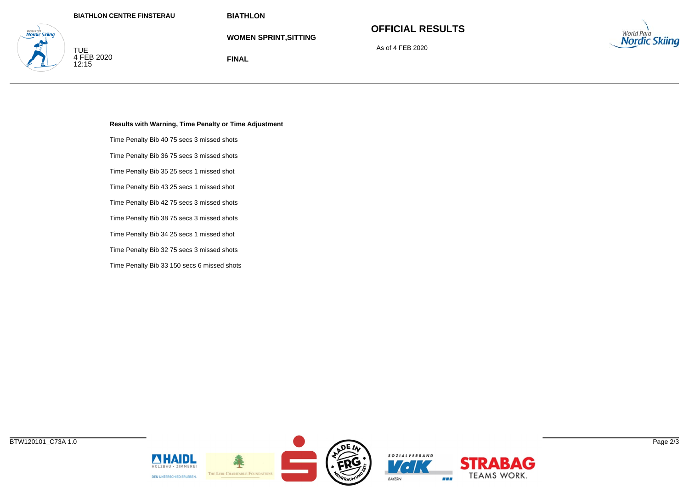**FINAL**

**WOMEN SPRINT,SITTING**

# **OFFICIAL RESULTS**

As of 4 FEB 2020



TUE<br>4 FEB 2020<br>12:15

**Nordic Skiina** 

**Results with Warning, Time Penalty or Time Adjustment**

Time Penalty Bib 40 75 secs 3 missed shots

Time Penalty Bib 36 75 secs 3 missed shots

Time Penalty Bib 35 25 secs 1 missed shot

Time Penalty Bib 43 25 secs 1 missed shot

Time Penalty Bib 42 75 secs 3 missed shots

Time Penalty Bib 38 75 secs 3 missed shots

Time Penalty Bib 34 25 secs 1 missed shot

Time Penalty Bib 32 75 secs 3 missed shots

Time Penalty Bib 33 150 secs 6 missed shots

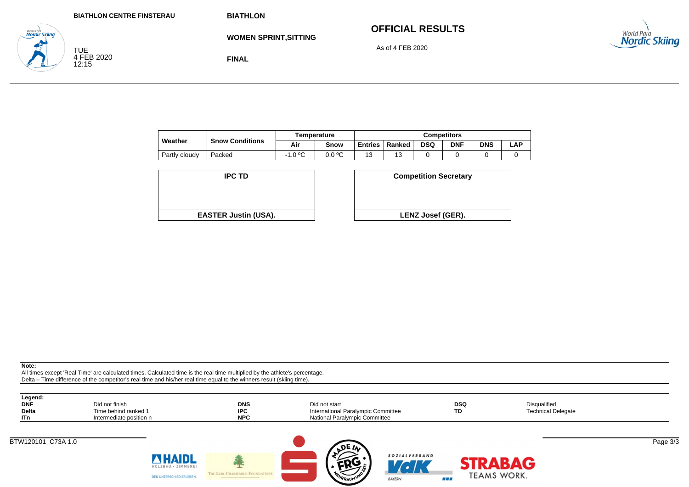**FINAL**

# **OFFICIAL RESULTS**

As of 4 FEB 2020



TUE<br>4 FEB 2020<br>12:15

**Nordic Skiina** 

**WOMEN SPRINT,SITTING**

|               |                        |                | <b>Femperature</b> | Competitors    |        |            |            |            |     |
|---------------|------------------------|----------------|--------------------|----------------|--------|------------|------------|------------|-----|
| Weather       | <b>Snow Conditions</b> | Air            | Snow               | <b>Entries</b> | Ranked | <b>DSQ</b> | <b>DNF</b> | <b>DNS</b> | ∟AP |
| Partly cloudy | Packed                 | -1.0 ºC<br>- 1 | 0.0 °C             | د ا            |        |            |            |            |     |

| <b>IPC TD</b>               | <b>Competition Secreta</b> |
|-----------------------------|----------------------------|
|                             |                            |
| <b>EASTER Justin (USA).</b> | <b>LENZ Josef (GER).</b>   |

| D                  | <b>Competition Secretary</b> |
|--------------------|------------------------------|
|                    |                              |
| t <b>in (USA).</b> | <b>LENZ Josef (GER).</b>     |

**Note:**

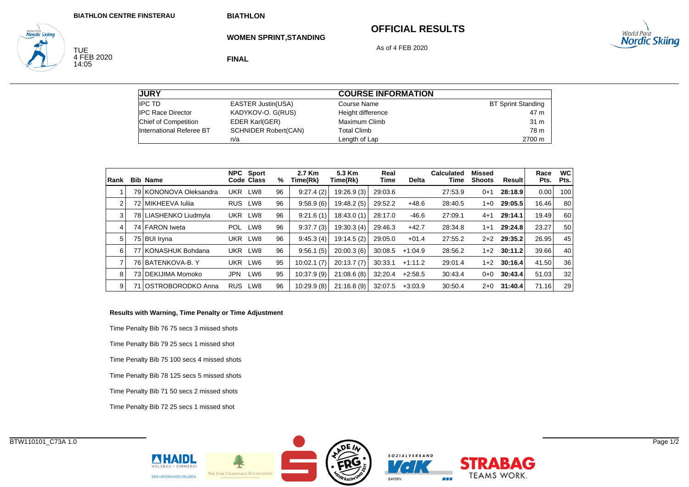## **OFFICIAL RESULTS**



TUE<br>4 FEB 2020<br>14:05

<sub>wortd Para</sub><br>**Nordic Skiing** 

**FINAL**

**WOMEN SPRINT,STANDING**

As of 4 FEB 2020

| <b>JURY</b>              |                             | <b>COURSE INFORMATION</b> |                           |
|--------------------------|-----------------------------|---------------------------|---------------------------|
| <b>IPC TD</b>            | <b>EASTER Justin(USA)</b>   | Course Name               | <b>BT Sprint Standing</b> |
| <b>IPC Race Director</b> | KADYKOV-O. G(RUS)           | Height difference         | 47 m                      |
| Chief of Competition     | EDER Karl(GER)              | Maximum Climb             | 31 m                      |
| International Referee BT | <b>SCHNIDER Robert(CAN)</b> | <b>Total Climb</b>        | 78 m                      |
|                          | n/a                         | Length of Lap             | 2700 m                    |

| Rank |      | <b>Bib Name</b>        |            | NPC Sport<br>Code Class | %  | 2.7 Km<br>Time(Rk) | 5.3 Km<br>Time(Rk) | Real<br>Time | <b>Delta</b> | Calculated<br>Time | <b>Missed</b><br><b>Shoots</b> | Result        | Race<br>Pts. | <b>WC</b><br>Pts. |
|------|------|------------------------|------------|-------------------------|----|--------------------|--------------------|--------------|--------------|--------------------|--------------------------------|---------------|--------------|-------------------|
|      |      | 79 KONONOVA Oleksandra | <b>UKR</b> | LW8                     | 96 | 9:27.4(2)          | 19:26.9(3)         | 29:03.6      |              | 27:53.9            | $0+1$                          | 28:18.9       | 0.00         | 100               |
| 2    |      | 72 MIKHEEVA Iulija     | <b>RUS</b> | LW8                     | 96 | 9:58.9(6)          | 19:48.2(5)         | 29:52.2      | $+48.6$      | 28:40.5            | $1 + 0$                        | 29:05.5       | 16.46        | 80                |
| 3    |      | 78 LIASHENKO Liudmyla  | UKR        | LW8                     | 96 | 9:21.6(1)          | 18:43.0(1)         | 28:17.0      | $-46.6$      | 27:09.1            | $4 + 1$                        | 29:14.1       | 19.49        | 60                |
| 4    |      | 74 FARON Iweta         | <b>POL</b> | LW8                     | 96 | 9:37.7(3)          | 19:30.3(4)         | 29:46.3      | $+42.7$      | 28:34.8            | $1 + 1$                        | 29:24.8       | 23.27        | 50                |
| 5    |      | 75 BUI Iryna           | <b>UKR</b> | LW8                     | 96 | 9:45.3(4)          | 19:14.5 (2)        | 29:05.0      | $+01.4$      | 27:55.2            | $2+2$                          | 29:35.2       | 26.95        | 45                |
| 6    |      | 77 KONASHUK Bohdana    | <b>UKR</b> | LW8                     | 96 | 9:56.1(5)          | 20:00.3(6)         | 30:08.5      | $+1:04.9$    | 28:56.2            | $1+2$                          | 30:11.2       | 39.66        | 40                |
|      |      | 76 BATENKOVA-B.Y       | <b>UKR</b> | LW6                     | 95 | 10:02.1(7)         | 20:13.7(7)         | 30:33.1      | $+1:11.2$    | 29:01.4            |                                | $1+2$ 30:16.4 | 41.50        | 36                |
| 8    |      | 73   DEKIJIMA Momoko   | JPN        | LW <sub>6</sub>         | 95 | 10:37.9(9)         | 21:08.6(8)         | 32:20.4      | $+2:58.5$    | 30:43.4            | $0 + 0$                        | 30:43.4       | 51.03        | 32                |
| 9    | 71 I | IOSTROBORODKO Anna     | <b>RUS</b> | LW8                     | 96 | 10:29.9(8)         | 21:16.8(9)         | 32:07.5      | $+3:03.9$    | 30:50.4            | $2+0$                          | 31:40.4       | 71.16        | 29                |

#### **Results with Warning, Time Penalty or Time Adjustment**

Time Penalty Bib 76 75 secs 3 missed shots Time Penalty Bib 79 25 secs 1 missed shot Time Penalty Bib 75 100 secs 4 missed shots Time Penalty Bib 78 125 secs 5 missed shots Time Penalty Bib 71 50 secs 2 missed shots Time Penalty Bib 72 25 secs 1 missed shot

**NHAIDL** 

DEN UNTERSCHIED ERLEBEN.

THE LEIR CHARITABLE FOUN





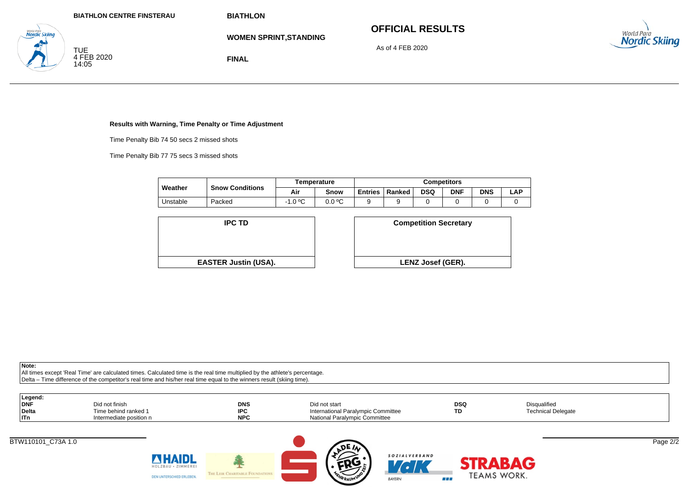**WOMEN SPRINT,STANDING**

# **OFFICIAL RESULTS**

As of 4 FEB 2020



TUE<br>4 FEB 2020<br>14:05

**Nordic Skiina** 

**FINAL**

#### **Results with Warning, Time Penalty or Time Adjustment**

Time Penalty Bib 74 50 secs 2 missed shots

Time Penalty Bib 77 75 secs 3 missed shots

|          |                        |           | Temperature | <b>Competitors</b> |        |     |            |            |     |
|----------|------------------------|-----------|-------------|--------------------|--------|-----|------------|------------|-----|
| Weather  | <b>Snow Conditions</b> | Air       | Snow        | <b>Entries</b>     | Ranked | DSQ | <b>DNF</b> | <b>DNS</b> | LAP |
| Jnstable | Packed                 | $-1.0 °C$ | 0.0 °C      |                    |        |     |            |            |     |



| D                  | <b>Competition Secretary</b> |
|--------------------|------------------------------|
| t <b>in (USA).</b> | LENZ Josef (GER).            |

**Note:**

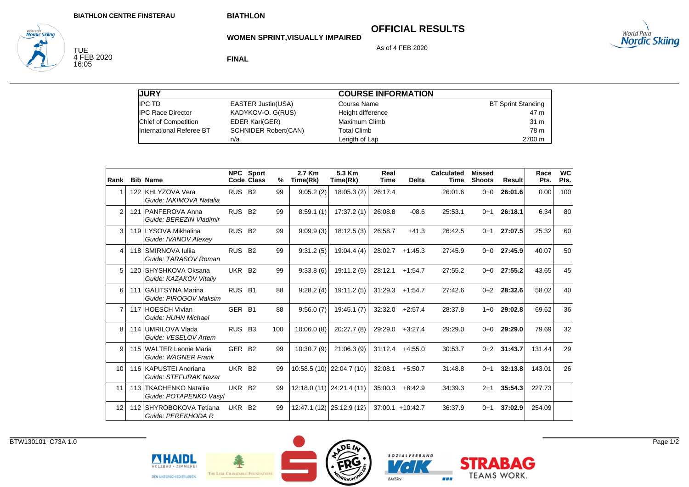**WOMEN SPRINT,VISUALLY IMPAIRED**

## **OFFICIAL RESULTS**

As of 4 FEB 2020



TUE<br>4 FEB 2020<br>16:05

*Norta Para*<br>**Nordic Skiing** 

**FINAL**

| <b>JURY</b>              |                             | <b>COURSE INFORMATION</b> |                           |
|--------------------------|-----------------------------|---------------------------|---------------------------|
| <b>IPC TD</b>            | <b>EASTER Justin(USA)</b>   | Course Name               | <b>BT Sprint Standing</b> |
| <b>IPC Race Director</b> | KADYKOV-O. G(RUS)           | Height difference         | 47 m                      |
| Chief of Competition     | <b>EDER Karl(GER)</b>       | Maximum Climb             | 31 m                      |
| International Referee BT | <b>SCHNIDER Robert(CAN)</b> | <b>Total Climb</b>        | 78 m                      |
|                          | n/a                         | Length of Lap             | 2700 m                    |

| Rank           |     | <b>Bib Name</b>                                  |                    | <b>NPC</b> Sport<br>Code Class | ℅   | 2.7 Km<br>Time(Rk) | 5.3 Km<br>Time(Rk)        | Real<br><b>Time</b> | <b>Delta</b>        | <b>Calculated</b><br><b>Time</b> | Missed<br><b>Shoots</b> | <b>Result</b> | Race<br>Pts. | <b>WC</b><br>Pts. |
|----------------|-----|--------------------------------------------------|--------------------|--------------------------------|-----|--------------------|---------------------------|---------------------|---------------------|----------------------------------|-------------------------|---------------|--------------|-------------------|
|                |     | 122 KHLYZOVA Vera<br>Guide: IAKIMOVA Natalia     | RUS B <sub>2</sub> |                                | 99  | 9:05.2(2)          | 18:05.3(2)                | 26:17.4             |                     | 26:01.6                          | $0 + 0$                 | 26:01.6       | 0.00         | 100               |
| $\overline{2}$ | 121 | I PANFEROVA Anna<br>Guide: BEREZIN Vladimir      | RUS B <sub>2</sub> |                                | 99  | 8:59.1(1)          | 17:37.2(1)                | 26:08.8             | $-08.6$             | 25:53.1                          | $0 + 1$                 | 26:18.1       | 6.34         | 80                |
| 3              |     | 119 LYSOVA Mikhalina<br>Guide: IVANOV Alexey     | RUS B <sub>2</sub> |                                | 99  | 9:09.9(3)          | 18:12.5(3)                | 26:58.7             | $+41.3$             | 26:42.5                          | $0 + 1$                 | 27:07.5       | 25.32        | 60                |
| 4              |     | 118 SMIRNOVA Iulija<br>Guide: TARASOV Roman      | <b>RUS</b>         | <b>B2</b>                      | 99  | 9:31.2(5)          | 19:04.4(4)                | 28:02.7             | $+1:45.3$           | 27:45.9                          | $0 + 0$                 | 27:45.9       | 40.07        | 50                |
| 5              |     | 120 SHYSHKOVA Oksana<br>Guide: KAZAKOV Vitaliv   | UKR B <sub>2</sub> |                                | 99  | 9:33.8(6)          | 19:11.2(5)                | 28:12.1             | $+1:54.7$           | 27:55.2                          | $0+0$                   | 27:55.2       | 43.65        | 45                |
| 6              | 111 | I GALITSYNA Marina<br>Guide: PIROGOV Maksim      | RUS B1             |                                | 88  | 9:28.2(4)          | 19:11.2(5)                | 31:29.3             | $+1:54.7$           | 27:42.6                          | $0 + 2$                 | 28:32.6       | 58.02        | 40                |
| $\overline{7}$ |     | 117 HOESCH Vivian<br>Guide: HUHN Michael         | GER B1             |                                | 88  | 9:56.0(7)          | 19:45.1(7)                | 32:32.0             | $+2:57.4$           | 28:37.8                          | $1 + 0$                 | 29:02.8       | 69.62        | 36                |
| 8              |     | 114 UMRILOVA Vlada<br>Guide: VESELOV Artem       | RUS B3             |                                | 100 | 10:06.0(8)         | 20:27.7(8)                | 29:29.0             | $+3:27.4$           | 29:29.0                          | $0 + 0$                 | 29:29.0       | 79.69        | 32                |
| 9              |     | 115 WALTER Leonie Maria<br>Guide: WAGNER Frank   | GER B <sub>2</sub> |                                | 99  | 10:30.7(9)         | 21:06.3(9)                | 31:12.4             | $+4:55.0$           | 30:53.7                          |                         | $0+2$ 31:43.7 | 131.44       | 29                |
| 10             |     | 116 KAPUSTEI Andriana<br>Guide: STEFURAK Nazar   | UKR B2             |                                | 99  |                    | 10:58.5 (10) 22:04.7 (10) | 32:08.1             | $+5:50.7$           | 31:48.8                          | $0 + 1$                 | 32:13.8       | 143.01       | 26                |
| 11             |     | 113 TKACHENKO Natalija<br>Guide: POTAPENKO Vasyl | <b>UKR</b>         | <b>B2</b>                      | 99  |                    | 12:18.0 (11) 24:21.4 (11) | 35:00.3             | $+8:42.9$           | 34:39.3                          | $2 + 1$                 | 35:54.3       | 227.73       |                   |
| 12             |     | 112 SHYROBOKOVA Tetiana<br>Guide: PEREKHODA R    | UKR                | <b>B2</b>                      | 99  |                    | 12:47.1 (12) 25:12.9 (12) |                     | $37:00.1 + 10:42.7$ | 36:37.9                          | $0 + 1$                 | 37:02.9       | 254.09       |                   |